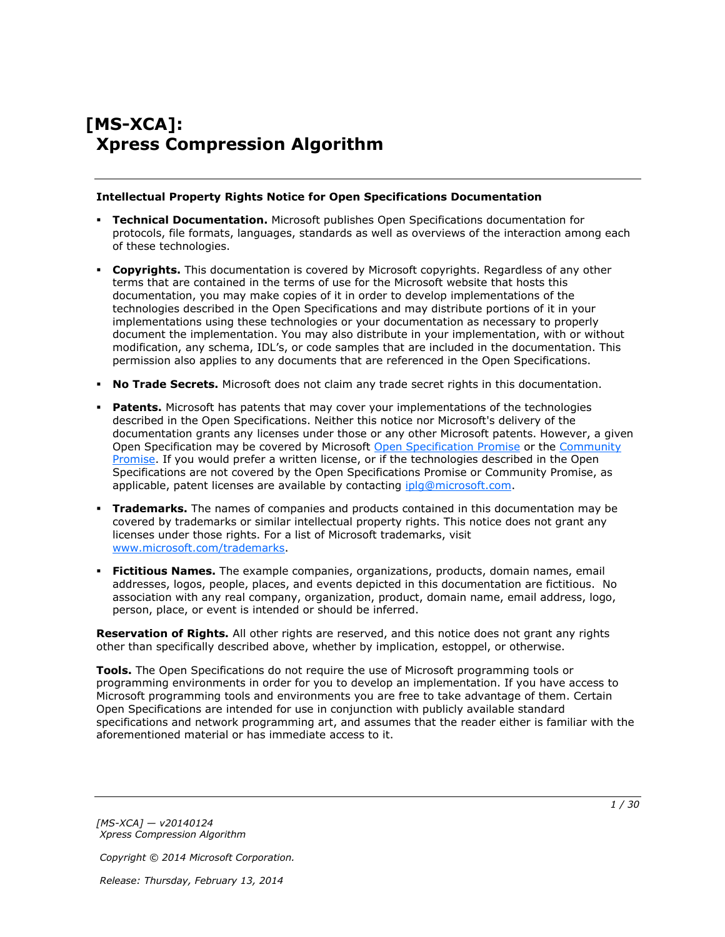# **[MS-XCA]: Xpress Compression Algorithm**

#### **Intellectual Property Rights Notice for Open Specifications Documentation**

- **Technical Documentation.** Microsoft publishes Open Specifications documentation for protocols, file formats, languages, standards as well as overviews of the interaction among each of these technologies.
- **Copyrights.** This documentation is covered by Microsoft copyrights. Regardless of any other terms that are contained in the terms of use for the Microsoft website that hosts this documentation, you may make copies of it in order to develop implementations of the technologies described in the Open Specifications and may distribute portions of it in your implementations using these technologies or your documentation as necessary to properly document the implementation. You may also distribute in your implementation, with or without modification, any schema, IDL's, or code samples that are included in the documentation. This permission also applies to any documents that are referenced in the Open Specifications.
- **No Trade Secrets.** Microsoft does not claim any trade secret rights in this documentation.
- **Patents.** Microsoft has patents that may cover your implementations of the technologies described in the Open Specifications. Neither this notice nor Microsoft's delivery of the documentation grants any licenses under those or any other Microsoft patents. However, a given Open Specification may be covered by Microsoft [Open Specification Promise](http://go.microsoft.com/fwlink/?LinkId=214445) or the [Community](http://go.microsoft.com/fwlink/?LinkId=214448)  [Promise.](http://go.microsoft.com/fwlink/?LinkId=214448) If you would prefer a written license, or if the technologies described in the Open Specifications are not covered by the Open Specifications Promise or Community Promise, as applicable, patent licenses are available by contacting ipla@microsoft.com.
- **Trademarks.** The names of companies and products contained in this documentation may be covered by trademarks or similar intellectual property rights. This notice does not grant any licenses under those rights. For a list of Microsoft trademarks, visit [www.microsoft.com/trademarks.](http://www.microsoft.com/trademarks)
- **Fictitious Names.** The example companies, organizations, products, domain names, email addresses, logos, people, places, and events depicted in this documentation are fictitious. No association with any real company, organization, product, domain name, email address, logo, person, place, or event is intended or should be inferred.

**Reservation of Rights.** All other rights are reserved, and this notice does not grant any rights other than specifically described above, whether by implication, estoppel, or otherwise.

**Tools.** The Open Specifications do not require the use of Microsoft programming tools or programming environments in order for you to develop an implementation. If you have access to Microsoft programming tools and environments you are free to take advantage of them. Certain Open Specifications are intended for use in conjunction with publicly available standard specifications and network programming art, and assumes that the reader either is familiar with the aforementioned material or has immediate access to it.

*[MS-XCA] — v20140124 Xpress Compression Algorithm* 

*Copyright © 2014 Microsoft Corporation.*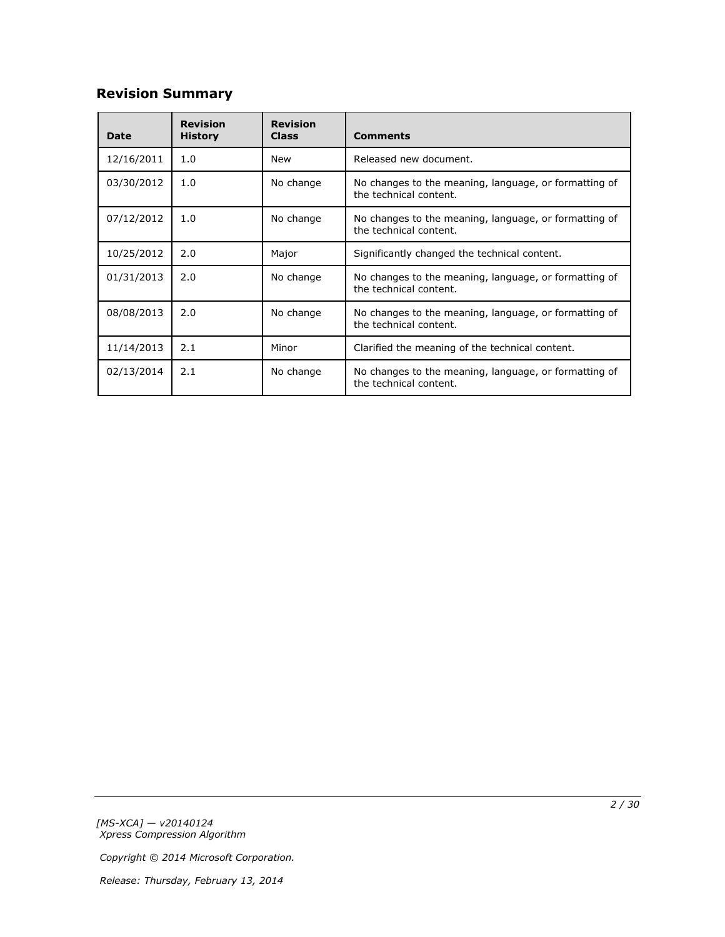# **Revision Summary**

| <b>Date</b> | <b>Revision</b><br><b>History</b> | <b>Revision</b><br><b>Class</b>                                                              | <b>Comments</b>                                                                 |
|-------------|-----------------------------------|----------------------------------------------------------------------------------------------|---------------------------------------------------------------------------------|
| 12/16/2011  | 1.0                               | New                                                                                          | Released new document.                                                          |
| 03/30/2012  | 1.0                               | No change<br>No changes to the meaning, language, or formatting of<br>the technical content. |                                                                                 |
| 07/12/2012  | 1.0                               | No change<br>No changes to the meaning, language, or formatting of<br>the technical content. |                                                                                 |
| 10/25/2012  | 2.0                               | Major                                                                                        | Significantly changed the technical content.                                    |
| 01/31/2013  | 2.0                               | No change<br>No changes to the meaning, language, or formatting of<br>the technical content. |                                                                                 |
| 08/08/2013  | 2.0                               | No change<br>No changes to the meaning, language, or formatting of<br>the technical content. |                                                                                 |
| 11/14/2013  | 2.1                               | Minor                                                                                        | Clarified the meaning of the technical content.                                 |
| 02/13/2014  | 2.1                               | No change                                                                                    | No changes to the meaning, language, or formatting of<br>the technical content. |

*[MS-XCA] — v20140124 Xpress Compression Algorithm* 

*Copyright © 2014 Microsoft Corporation.*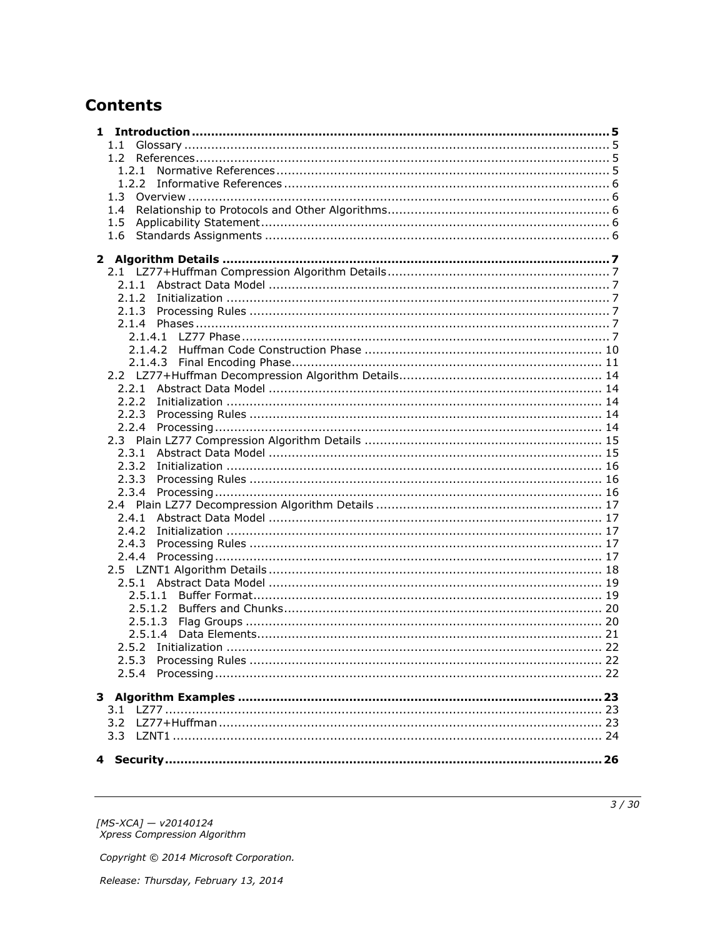# **Contents**

| $1.1 -$ |  |
|---------|--|
| $1.2 -$ |  |
|         |  |
|         |  |
|         |  |
| 1.4     |  |
| 1.5     |  |
| 1.6     |  |
|         |  |
|         |  |
|         |  |
|         |  |
|         |  |
|         |  |
|         |  |
|         |  |
|         |  |
|         |  |
|         |  |
|         |  |
|         |  |
|         |  |
|         |  |
|         |  |
|         |  |
| 2.3.2   |  |
|         |  |
|         |  |
|         |  |
|         |  |
| 2.4.2   |  |
|         |  |
|         |  |
|         |  |
|         |  |
|         |  |
| 2.5.1.2 |  |
| 2.5.1.3 |  |
| 2.5.1.4 |  |
|         |  |
|         |  |
|         |  |
|         |  |
|         |  |
|         |  |
|         |  |
|         |  |
|         |  |
|         |  |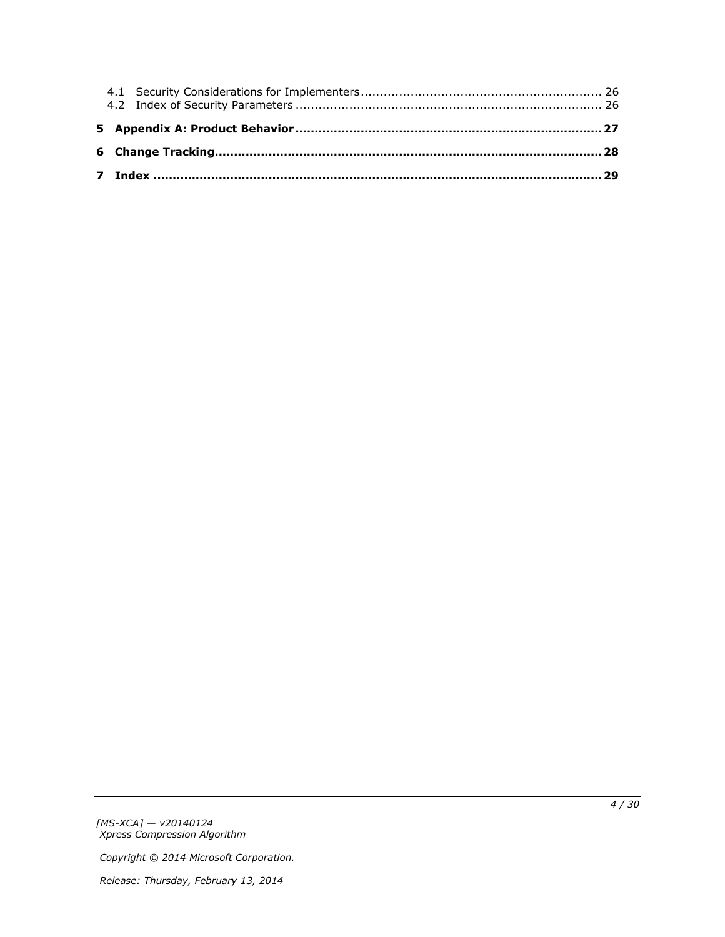*[MS-XCA] — v20140124 Xpress Compression Algorithm* 

*Copyright © 2014 Microsoft Corporation.*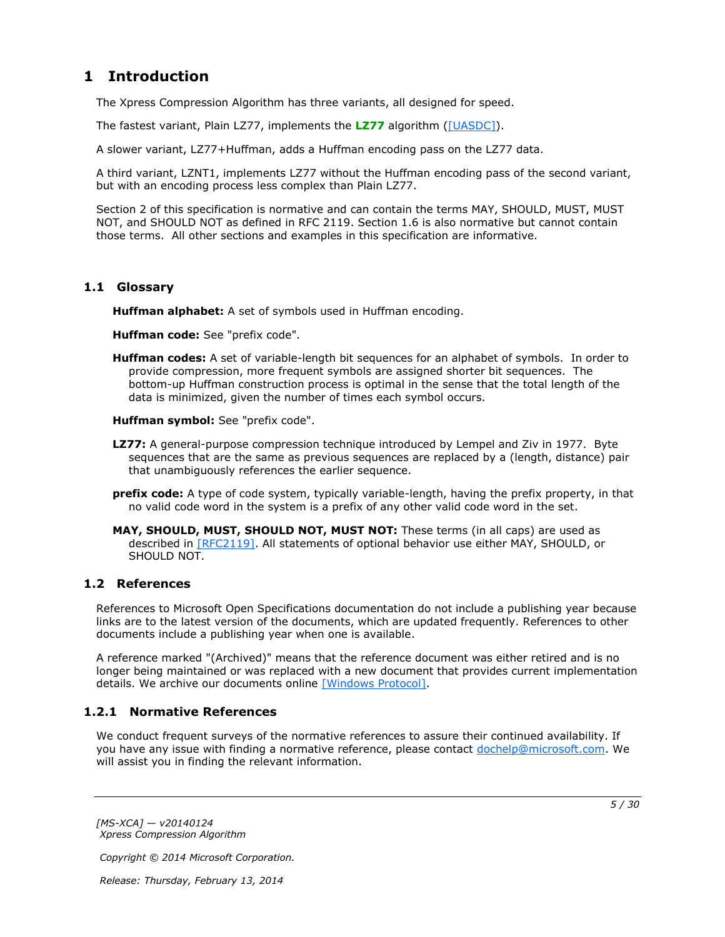# <span id="page-4-0"></span>**1 Introduction**

<span id="page-4-11"></span>The Xpress Compression Algorithm has three variants, all designed for speed.

The fastest variant, Plain LZ77, implements the **[LZ77](#page-4-4)** algorithm [\(\[UASDC\]\)](http://go.microsoft.com/fwlink/?LinkId=90549).

A slower variant, LZ77+Huffman, adds a Huffman encoding pass on the LZ77 data.

A third variant, LZNT1, implements LZ77 without the Huffman encoding pass of the second variant, but with an encoding process less complex than Plain LZ77.

Section 2 of this specification is normative and can contain the terms MAY, SHOULD, MUST, MUST NOT, and SHOULD NOT as defined in RFC 2119. Section 1.6 is also normative but cannot contain those terms. All other sections and examples in this specification are informative.

## <span id="page-4-1"></span>**1.1 Glossary**

<span id="page-4-10"></span><span id="page-4-7"></span>**Huffman alphabet:** A set of symbols used in Huffman encoding.

<span id="page-4-8"></span>**Huffman code:** See "prefix code".

<span id="page-4-6"></span>**Huffman codes:** A set of variable-length bit sequences for an alphabet of symbols. In order to provide compression, more frequent symbols are assigned shorter bit sequences. The bottom-up Huffman construction process is optimal in the sense that the total length of the data is minimized, given the number of times each symbol occurs.

<span id="page-4-9"></span>**Huffman symbol:** See "prefix code".

- <span id="page-4-4"></span>**LZ77:** A general-purpose compression technique introduced by Lempel and Ziv in 1977. Byte sequences that are the same as previous sequences are replaced by a (length, distance) pair that unambiguously references the earlier sequence.
- <span id="page-4-5"></span>**prefix code:** A type of code system, typically variable-length, having the prefix property, in that no valid code word in the system is a prefix of any other valid code word in the set.
- **MAY, SHOULD, MUST, SHOULD NOT, MUST NOT:** These terms (in all caps) are used as described in [\[RFC2119\].](http://go.microsoft.com/fwlink/?LinkId=90317) All statements of optional behavior use either MAY, SHOULD, or SHOULD NOT.

## <span id="page-4-2"></span>**1.2 References**

References to Microsoft Open Specifications documentation do not include a publishing year because links are to the latest version of the documents, which are updated frequently. References to other documents include a publishing year when one is available.

A reference marked "(Archived)" means that the reference document was either retired and is no longer being maintained or was replaced with a new document that provides current implementation details. We archive our documents online [\[Windows Protocol\].](http://msdn.microsoft.com/en-us/library/jj633107.aspx)

## <span id="page-4-3"></span>**1.2.1 Normative References**

<span id="page-4-12"></span>We conduct frequent surveys of the normative references to assure their continued availability. If you have any issue with finding a normative reference, please contact [dochelp@microsoft.com.](mailto:dochelp@microsoft.com) We will assist you in finding the relevant information.

*[MS-XCA] — v20140124 Xpress Compression Algorithm* 

*Copyright © 2014 Microsoft Corporation.*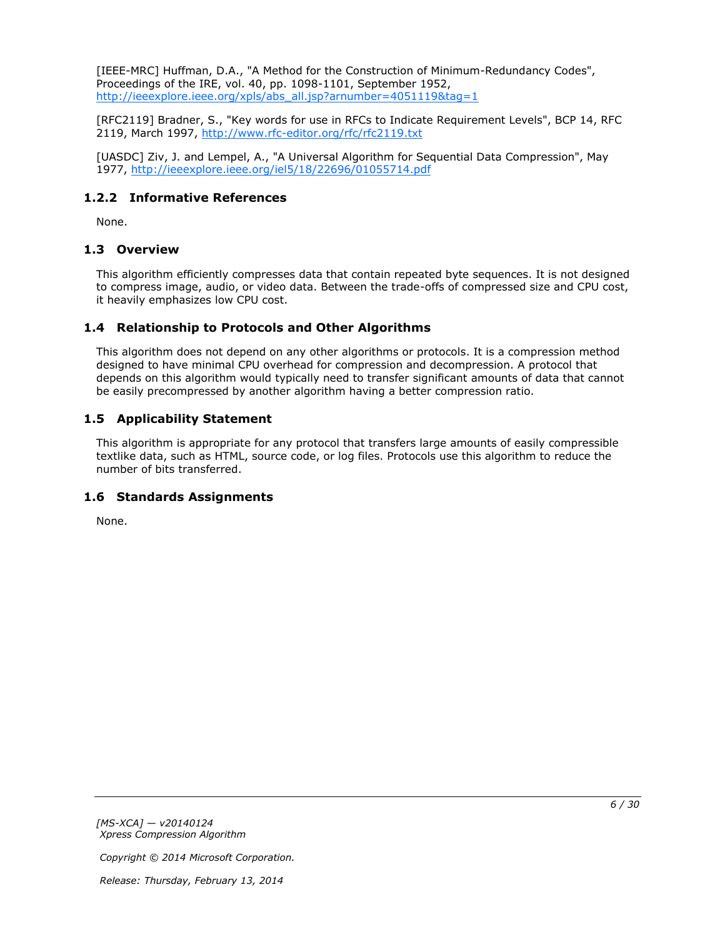[IEEE-MRC] Huffman, D.A., "A Method for the Construction of Minimum-Redundancy Codes", Proceedings of the IRE, vol. 40, pp. 1098-1101, September 1952, [http://ieeexplore.ieee.org/xpls/abs\\_all.jsp?arnumber=4051119&tag=1](http://go.microsoft.com/fwlink/?LinkId=227659)

[RFC2119] Bradner, S., "Key words for use in RFCs to Indicate Requirement Levels", BCP 14, RFC 2119, March 1997, [http://www.rfc-editor.org/rfc/rfc2119.txt](http://go.microsoft.com/fwlink/?LinkId=90317)

[UASDC] Ziv, J. and Lempel, A., "A Universal Algorithm for Sequential Data Compression", May 1977, [http://ieeexplore.ieee.org/iel5/18/22696/01055714.pdf](http://go.microsoft.com/fwlink/?LinkId=90549)

## <span id="page-5-0"></span>**1.2.2 Informative References**

<span id="page-5-7"></span><span id="page-5-6"></span>None.

### <span id="page-5-1"></span>**1.3 Overview**

This algorithm efficiently compresses data that contain repeated byte sequences. It is not designed to compress image, audio, or video data. Between the trade-offs of compressed size and CPU cost, it heavily emphasizes low CPU cost.

## <span id="page-5-2"></span>**1.4 Relationship to Protocols and Other Algorithms**

<span id="page-5-8"></span>This algorithm does not depend on any other algorithms or protocols. It is a compression method designed to have minimal CPU overhead for compression and decompression. A protocol that depends on this algorithm would typically need to transfer significant amounts of data that cannot be easily precompressed by another algorithm having a better compression ratio.

## <span id="page-5-3"></span>**1.5 Applicability Statement**

<span id="page-5-5"></span>This algorithm is appropriate for any protocol that transfers large amounts of easily compressible textlike data, such as HTML, source code, or log files. Protocols use this algorithm to reduce the number of bits transferred.

### <span id="page-5-4"></span>**1.6 Standards Assignments**

<span id="page-5-9"></span>None.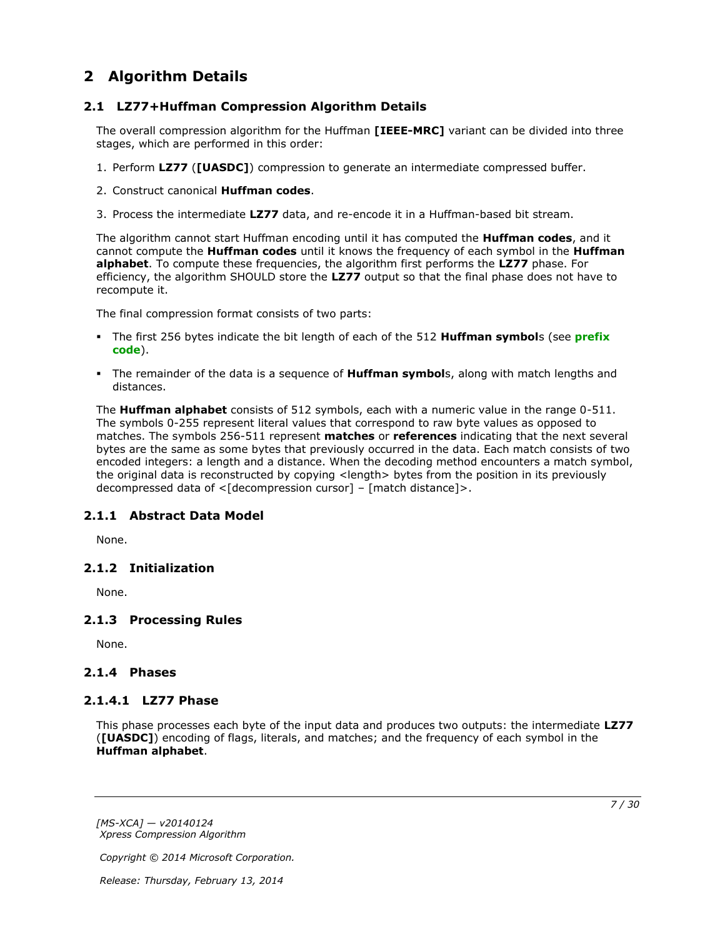# <span id="page-6-0"></span>**2 Algorithm Details**

## <span id="page-6-1"></span>**2.1 LZ77+Huffman Compression Algorithm Details**

<span id="page-6-10"></span>The overall compression algorithm for the Huffman **[IEEE-MRC]** variant can be divided into three stages, which are performed in this order:

- 1. Perform **LZ77** (**[UASDC]**) compression to generate an intermediate compressed buffer.
- 2. Construct canonical **Huffman codes**.
- 3. Process the intermediate **LZ77** data, and re-encode it in a Huffman-based bit stream.

The algorithm cannot start Huffman encoding until it has computed the **Huffman codes**, and it cannot compute the **Huffman codes** until it knows the frequency of each symbol in the **Huffman alphabet**. To compute these frequencies, the algorithm first performs the **LZ77** phase. For efficiency, the algorithm SHOULD store the **LZ77** output so that the final phase does not have to recompute it.

The final compression format consists of two parts:

- The first 256 bytes indicate the bit length of each of the 512 **Huffman symbol**s (see **[prefix](#page-4-5)  [code](#page-4-5)**).
- The remainder of the data is a sequence of **Huffman symbol**s, along with match lengths and distances.

The **Huffman alphabet** consists of 512 symbols, each with a numeric value in the range 0-511. The symbols 0-255 represent literal values that correspond to raw byte values as opposed to matches. The symbols 256-511 represent **matches** or **references** indicating that the next several bytes are the same as some bytes that previously occurred in the data. Each match consists of two encoded integers: a length and a distance. When the decoding method encounters a match symbol, the original data is reconstructed by copying <length> bytes from the position in its previously decompressed data of <[decompression cursor] – [match distance]>.

## <span id="page-6-2"></span>**2.1.1 Abstract Data Model**

<span id="page-6-9"></span><span id="page-6-8"></span>None.

## <span id="page-6-3"></span>**2.1.2 Initialization**

<span id="page-6-11"></span>None.

## <span id="page-6-4"></span>**2.1.3 Processing Rules**

None.

## <span id="page-6-5"></span>**2.1.4 Phases**

### <span id="page-6-6"></span>**2.1.4.1 LZ77 Phase**

<span id="page-6-7"></span>This phase processes each byte of the input data and produces two outputs: the intermediate **LZ77** (**[UASDC]**) encoding of flags, literals, and matches; and the frequency of each symbol in the **Huffman alphabet**.

*[MS-XCA] — v20140124 Xpress Compression Algorithm* 

*Copyright © 2014 Microsoft Corporation.*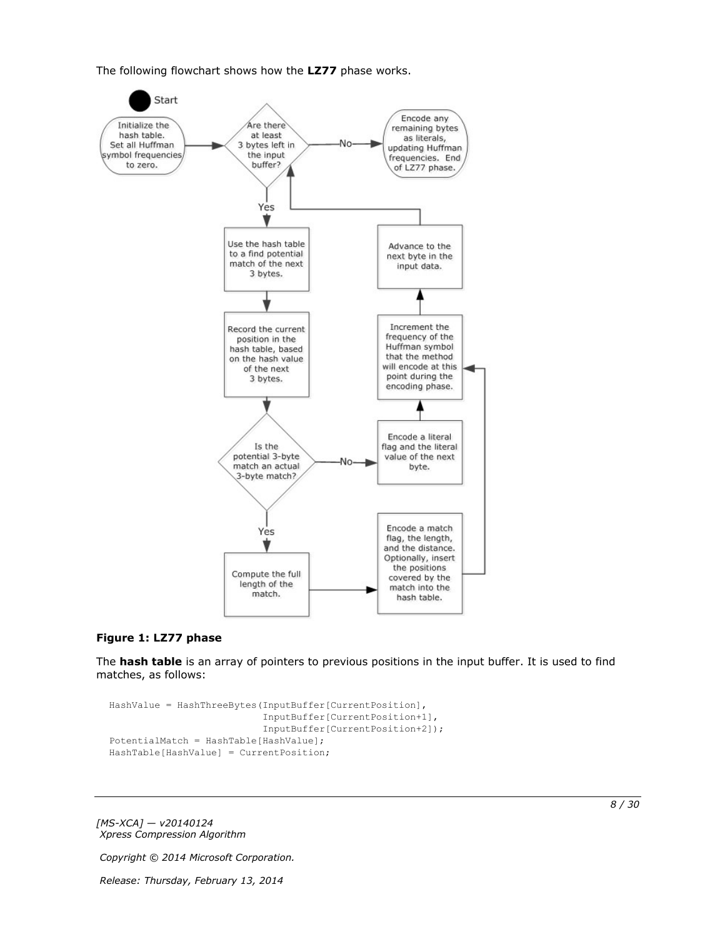The following flowchart shows how the **LZ77** phase works.



#### **Figure 1: LZ77 phase**

The **hash table** is an array of pointers to previous positions in the input buffer. It is used to find matches, as follows:

```
HashValue = HashThreeBytes(InputBuffer[CurrentPosition],
                            InputBuffer[CurrentPosition+1],
                           InputBuffer[CurrentPosition+2]);
PotentialMatch = HashTable[HashValue];
HashTable[HashValue] = CurrentPosition;
```
*[MS-XCA] — v20140124 Xpress Compression Algorithm* 

*Copyright © 2014 Microsoft Corporation.*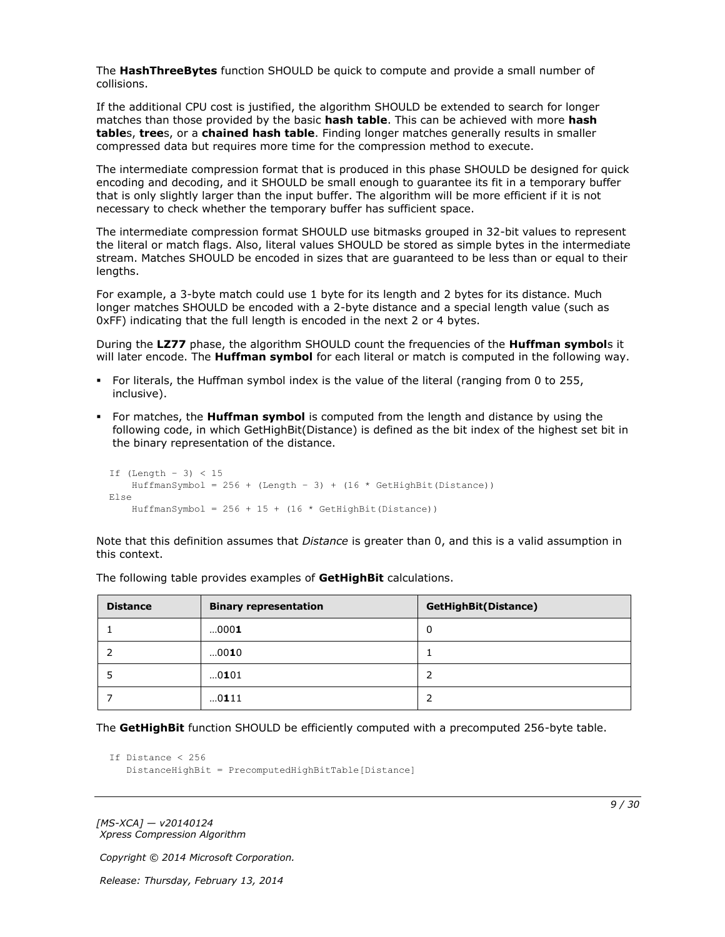The **HashThreeBytes** function SHOULD be quick to compute and provide a small number of collisions.

If the additional CPU cost is justified, the algorithm SHOULD be extended to search for longer matches than those provided by the basic **hash table**. This can be achieved with more **hash table**s, **tree**s, or a **chained hash table**. Finding longer matches generally results in smaller compressed data but requires more time for the compression method to execute.

The intermediate compression format that is produced in this phase SHOULD be designed for quick encoding and decoding, and it SHOULD be small enough to guarantee its fit in a temporary buffer that is only slightly larger than the input buffer. The algorithm will be more efficient if it is not necessary to check whether the temporary buffer has sufficient space.

The intermediate compression format SHOULD use bitmasks grouped in 32-bit values to represent the literal or match flags. Also, literal values SHOULD be stored as simple bytes in the intermediate stream. Matches SHOULD be encoded in sizes that are guaranteed to be less than or equal to their lengths.

For example, a 3-byte match could use 1 byte for its length and 2 bytes for its distance. Much longer matches SHOULD be encoded with a 2-byte distance and a special length value (such as 0xFF) indicating that the full length is encoded in the next 2 or 4 bytes.

During the **LZ77** phase, the algorithm SHOULD count the frequencies of the **Huffman symbol**s it will later encode. The **Huffman symbol** for each literal or match is computed in the following way.

- For literals, the Huffman symbol index is the value of the literal (ranging from 0 to 255, inclusive).
- For matches, the **Huffman symbol** is computed from the length and distance by using the following code, in which GetHighBit(Distance) is defined as the bit index of the highest set bit in the binary representation of the distance.

```
If (Length – 3) < 15
   HuffmanSymbol = 256 + (Length - 3) + (16 * GetHighBit(Distance))Else
    HuffmanSymbol = 256 + 15 + (16 * \text{ GetHighBit (Distance)})
```
Note that this definition assumes that *Distance* is greater than 0, and this is a valid assumption in this context.

| <b>Distance</b> | <b>Binary representation</b> | <b>GetHighBit(Distance)</b> |
|-----------------|------------------------------|-----------------------------|
|                 | 0001                         | 0                           |
|                 | 0010                         |                             |
|                 | 0101                         | 2                           |
|                 | 0111                         | 2                           |

The following table provides examples of **GetHighBit** calculations.

The **GetHighBit** function SHOULD be efficiently computed with a precomputed 256-byte table.

```
If Distance < 256
    DistanceHighBit = PrecomputedHighBitTable[Distance]
```
*[MS-XCA] — v20140124 Xpress Compression Algorithm* 

*Copyright © 2014 Microsoft Corporation.*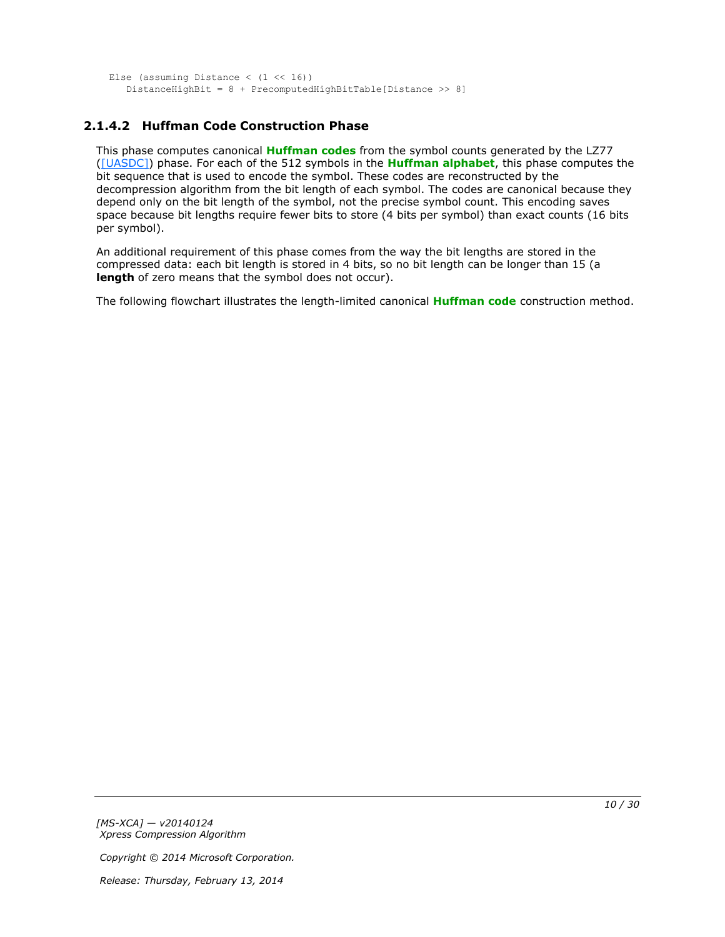```
Else (assuming Distance (1 \le 16))
    DistanceHighBit = 8 + PrecomputedHighBitTable[Distance >> 8]
```
# <span id="page-9-0"></span>**2.1.4.2 Huffman Code Construction Phase**

This phase computes canonical **[Huffman codes](#page-4-6)** from the symbol counts generated by the LZ77 [\(\[UASDC\]\)](http://go.microsoft.com/fwlink/?LinkId=90549) phase. For each of the 512 symbols in the **[Huffman alphabet](#page-4-7)**, this phase computes the bit sequence that is used to encode the symbol. These codes are reconstructed by the decompression algorithm from the bit length of each symbol. The codes are canonical because they depend only on the bit length of the symbol, not the precise symbol count. This encoding saves space because bit lengths require fewer bits to store (4 bits per symbol) than exact counts (16 bits per symbol).

An additional requirement of this phase comes from the way the bit lengths are stored in the compressed data: each bit length is stored in 4 bits, so no bit length can be longer than 15 (a **length** of zero means that the symbol does not occur).

The following flowchart illustrates the length-limited canonical **[Huffman code](#page-4-8)** construction method.

*[MS-XCA] — v20140124 Xpress Compression Algorithm* 

*Copyright © 2014 Microsoft Corporation.*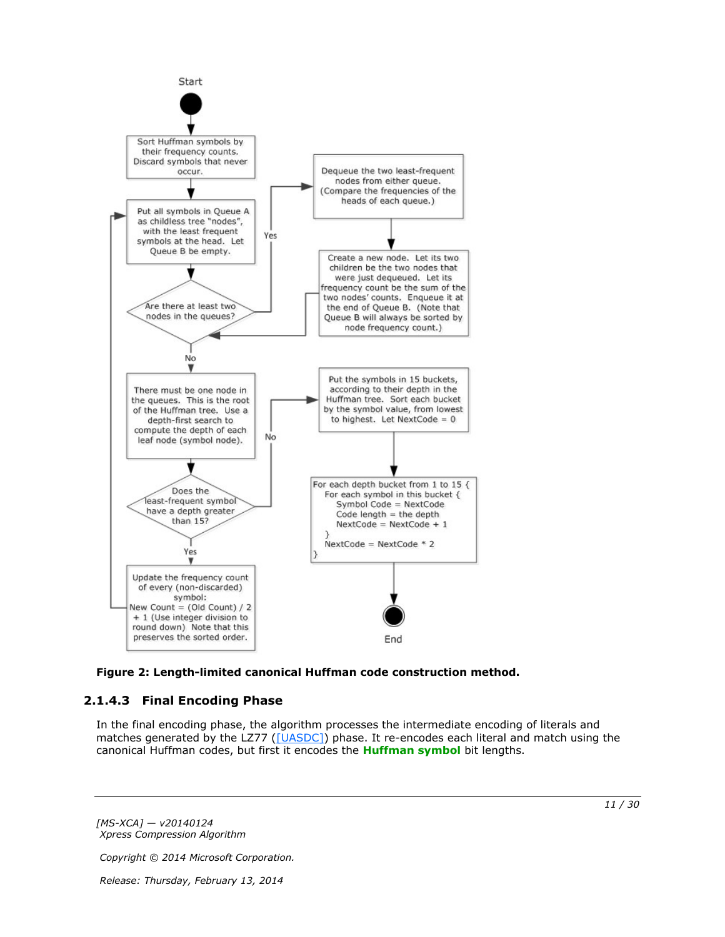

<span id="page-10-1"></span>

# <span id="page-10-0"></span>**2.1.4.3 Final Encoding Phase**

In the final encoding phase, the algorithm processes the intermediate encoding of literals and matches generated by the LZ77 [\(\[UASDC\]\)](http://go.microsoft.com/fwlink/?LinkId=90549) phase. It re-encodes each literal and match using the canonical Huffman codes, but first it encodes the **[Huffman symbol](#page-4-9)** bit lengths.

*[MS-XCA] — v20140124 Xpress Compression Algorithm* 

*Copyright © 2014 Microsoft Corporation.*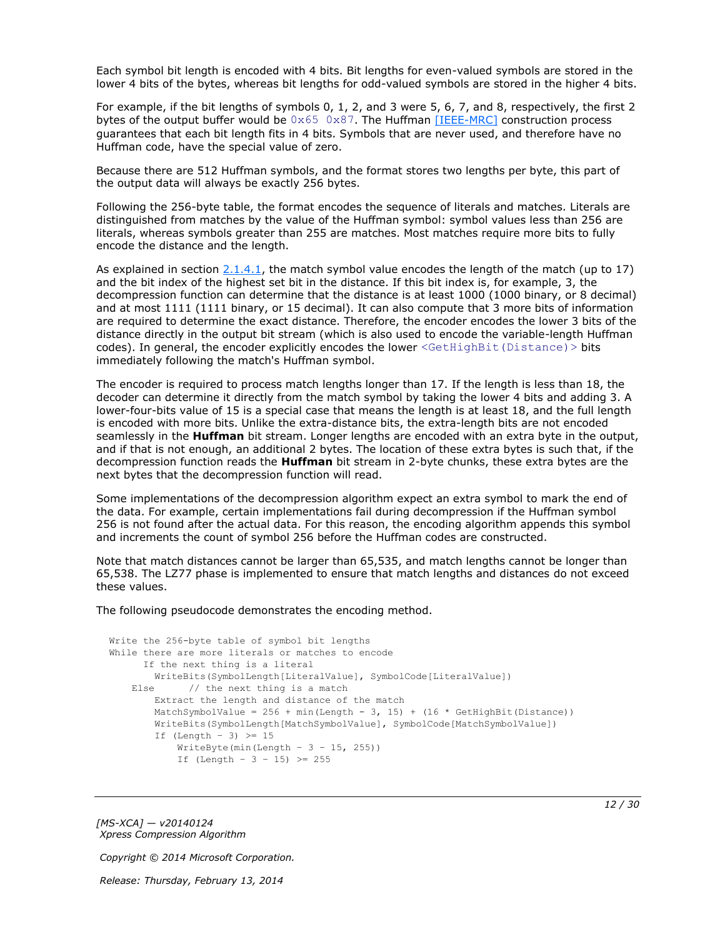Each symbol bit length is encoded with 4 bits. Bit lengths for even-valued symbols are stored in the lower 4 bits of the bytes, whereas bit lengths for odd-valued symbols are stored in the higher 4 bits.

For example, if the bit lengths of symbols 0, 1, 2, and 3 were 5, 6, 7, and 8, respectively, the first 2 bytes of the output buffer would be  $0 \times 65$   $0 \times 87$ . The Huffman [\[IEEE-MRC\]](http://go.microsoft.com/fwlink/?LinkId=227659) construction process guarantees that each bit length fits in 4 bits. Symbols that are never used, and therefore have no Huffman code, have the special value of zero.

Because there are 512 Huffman symbols, and the format stores two lengths per byte, this part of the output data will always be exactly 256 bytes.

Following the 256-byte table, the format encodes the sequence of literals and matches. Literals are distinguished from matches by the value of the Huffman symbol: symbol values less than 256 are literals, whereas symbols greater than 255 are matches. Most matches require more bits to fully encode the distance and the length.

As explained in section  $2.1.4.1$ , the match symbol value encodes the length of the match (up to 17) and the bit index of the highest set bit in the distance. If this bit index is, for example, 3, the decompression function can determine that the distance is at least 1000 (1000 binary, or 8 decimal) and at most 1111 (1111 binary, or 15 decimal). It can also compute that 3 more bits of information are required to determine the exact distance. Therefore, the encoder encodes the lower 3 bits of the distance directly in the output bit stream (which is also used to encode the variable-length Huffman codes). In general, the encoder explicitly encodes the lower <GetHighBit (Distance) > bits immediately following the match's Huffman symbol.

The encoder is required to process match lengths longer than 17. If the length is less than 18, the decoder can determine it directly from the match symbol by taking the lower 4 bits and adding 3. A lower-four-bits value of 15 is a special case that means the length is at least 18, and the full length is encoded with more bits. Unlike the extra-distance bits, the extra-length bits are not encoded seamlessly in the **Huffman** bit stream. Longer lengths are encoded with an extra byte in the output, and if that is not enough, an additional 2 bytes. The location of these extra bytes is such that, if the decompression function reads the **Huffman** bit stream in 2-byte chunks, these extra bytes are the next bytes that the decompression function will read.

Some implementations of the decompression algorithm expect an extra symbol to mark the end of the data. For example, certain implementations fail during decompression if the Huffman symbol 256 is not found after the actual data. For this reason, the encoding algorithm appends this symbol and increments the count of symbol 256 before the Huffman codes are constructed.

Note that match distances cannot be larger than 65,535, and match lengths cannot be longer than 65,538. The LZ77 phase is implemented to ensure that match lengths and distances do not exceed these values.

The following pseudocode demonstrates the encoding method.

```
Write the 256-byte table of symbol bit lengths
While there are more literals or matches to encode
      If the next thing is a literal
        WriteBits(SymbolLength[LiteralValue], SymbolCode[LiteralValue])
   Else // the next thing is a match
        Extract the length and distance of the match
       MatchSymbolValue = 256 + min(Length - 3, 15) + (16 * GetHighBit(Distance)) WriteBits(SymbolLength[MatchSymbolValue], SymbolCode[MatchSymbolValue])
        If (Length - 3) \geq 15
           WriteByte(min(Length - 3 - 15, 255))
           If (Length - 3 - 15) >= 255
```
*[MS-XCA] — v20140124 Xpress Compression Algorithm* 

*Copyright © 2014 Microsoft Corporation.*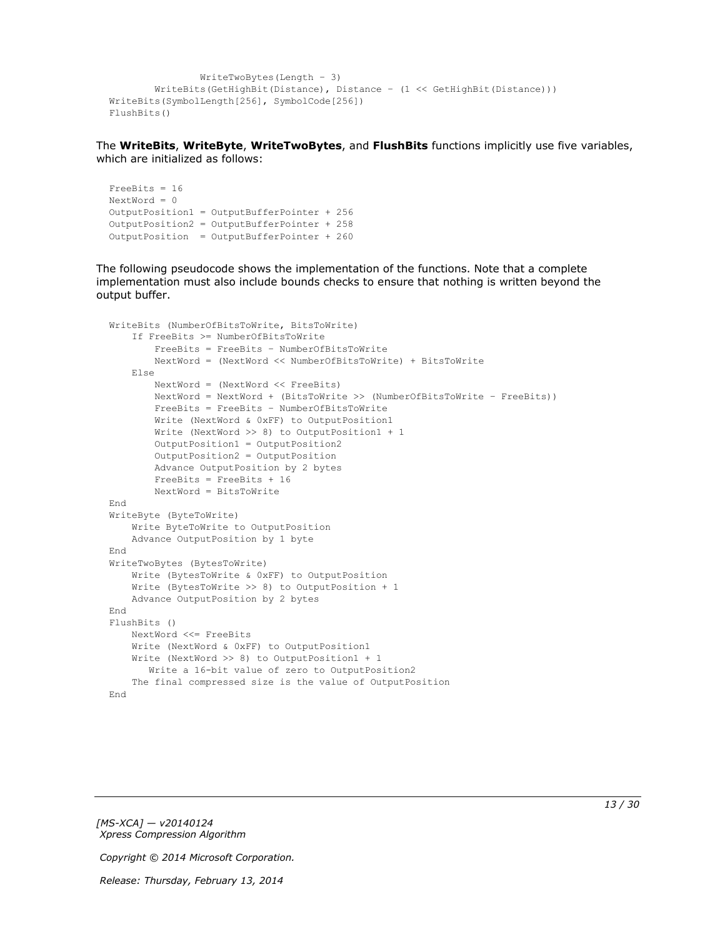```
 WriteTwoBytes(Length – 3)
         WriteBits(GetHighBit(Distance), Distance – (1 << GetHighBit(Distance)))
WriteBits(SymbolLength[256], SymbolCode[256])
FlushBits()
```
The **WriteBits**, **WriteByte**, **WriteTwoBytes**, and **FlushBits** functions implicitly use five variables, which are initialized as follows:

```
FreeBits = 16
NextWord = 0OutputPosition1 = OutputBufferPointer + 256
OutputPosition2 = OutputBufferPointer + 258 
OutputPosition = OutputBufferPointer + 260
```
The following pseudocode shows the implementation of the functions. Note that a complete implementation must also include bounds checks to ensure that nothing is written beyond the output buffer.

```
WriteBits (NumberOfBitsToWrite, BitsToWrite)
     If FreeBits >= NumberOfBitsToWrite
         FreeBits = FreeBits – NumberOfBitsToWrite
         NextWord = (NextWord << NumberOfBitsToWrite) + BitsToWrite
     Else
         NextWord = (NextWord << FreeBits)
         NextWord = NextWord + (BitsToWrite >> (NumberOfBitsToWrite – FreeBits))
         FreeBits = FreeBits – NumberOfBitsToWrite
         Write (NextWord & 0xFF) to OutputPosition1
         Write (NextWord >> 8) to OutputPosition1 + 1
         OutputPosition1 = OutputPosition2
         OutputPosition2 = OutputPosition
         Advance OutputPosition by 2 bytes
         FreeBits = FreeBits + 16
         NextWord = BitsToWrite
End
WriteByte (ByteToWrite)
     Write ByteToWrite to OutputPosition
     Advance OutputPosition by 1 byte
End
WriteTwoBytes (BytesToWrite)
     Write (BytesToWrite & 0xFF) to OutputPosition
     Write (BytesToWrite >> 8) to OutputPosition + 1
     Advance OutputPosition by 2 bytes
End
FlushBits ()
    NextWord <<= FreeBits
     Write (NextWord & 0xFF) to OutputPosition1
     Write (NextWord >> 8) to OutputPosition1 + 1
        Write a 16-bit value of zero to OutputPosition2
     The final compressed size is the value of OutputPosition
End
```
*[MS-XCA] — v20140124 Xpress Compression Algorithm* 

*Copyright © 2014 Microsoft Corporation.*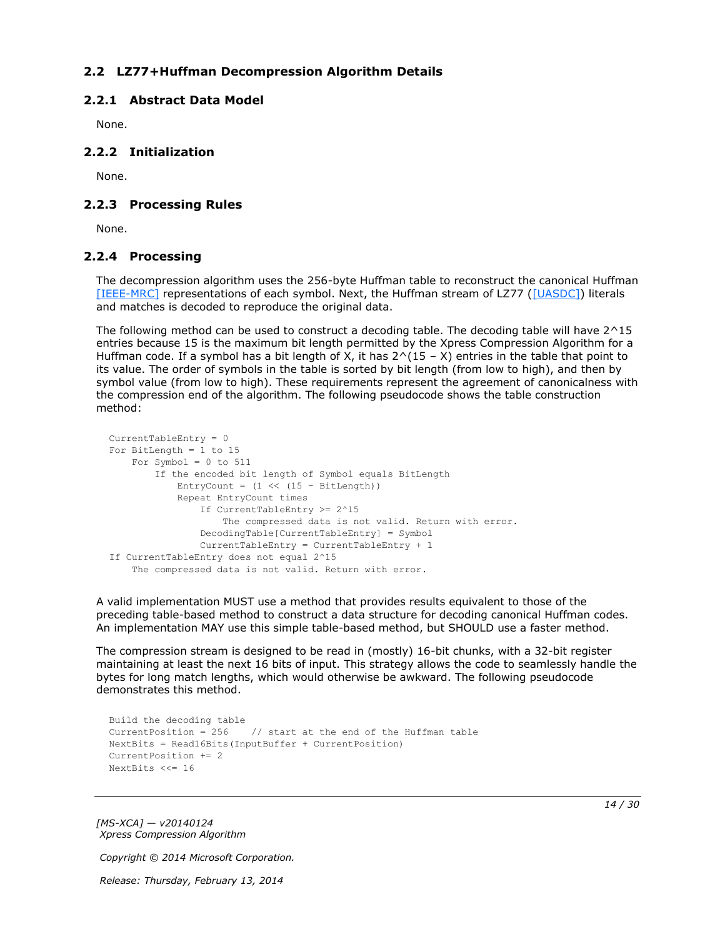# <span id="page-13-0"></span>**2.2 LZ77+Huffman Decompression Algorithm Details**

## <span id="page-13-1"></span>**2.2.1 Abstract Data Model**

<span id="page-13-6"></span><span id="page-13-5"></span>None.

## <span id="page-13-2"></span>**2.2.2 Initialization**

<span id="page-13-8"></span>None.

## <span id="page-13-3"></span>**2.2.3 Processing Rules**

<span id="page-13-7"></span>None.

## <span id="page-13-4"></span>**2.2.4 Processing**

The decompression algorithm uses the 256-byte Huffman table to reconstruct the canonical Huffman [\[IEEE-MRC\]](http://go.microsoft.com/fwlink/?LinkId=227659) representations of each symbol. Next, the Huffman stream of LZ77 [\(\[UASDC\]\)](http://go.microsoft.com/fwlink/?LinkId=90549) literals and matches is decoded to reproduce the original data.

The following method can be used to construct a decoding table. The decoding table will have  $2^{\wedge}15$ entries because 15 is the maximum bit length permitted by the Xpress Compression Algorithm for a Huffman code. If a symbol has a bit length of X, it has  $2^{\wedge}(15 - X)$  entries in the table that point to its value. The order of symbols in the table is sorted by bit length (from low to high), and then by symbol value (from low to high). These requirements represent the agreement of canonicalness with the compression end of the algorithm. The following pseudocode shows the table construction method:

```
CurrentTableEntry = 0
For BitLength = 1 to 15
   For Symbol = 0 to 511
         If the encoded bit length of Symbol equals BitLength
            EntryCount = (1 \le (15 - \text{BitLength})) Repeat EntryCount times
                 If CurrentTableEntry >= 2^15
                     The compressed data is not valid. Return with error.
                 DecodingTable[CurrentTableEntry] = Symbol
                 CurrentTableEntry = CurrentTableEntry + 1
If CurrentTableEntry does not equal 2^15
     The compressed data is not valid. Return with error.
```
A valid implementation MUST use a method that provides results equivalent to those of the preceding table-based method to construct a data structure for decoding canonical Huffman codes. An implementation MAY use this simple table-based method, but SHOULD use a faster method.

The compression stream is designed to be read in (mostly) 16-bit chunks, with a 32-bit register maintaining at least the next 16 bits of input. This strategy allows the code to seamlessly handle the bytes for long match lengths, which would otherwise be awkward. The following pseudocode demonstrates this method.

```
Build the decoding table
CurrentPosition = 256 // start at the end of the Huffman table
NextBits = Read16Bits(InputBuffer + CurrentPosition)
CurrentPosition += 2
NextBits <<= 16
```
*[MS-XCA] — v20140124 Xpress Compression Algorithm* 

*Copyright © 2014 Microsoft Corporation.*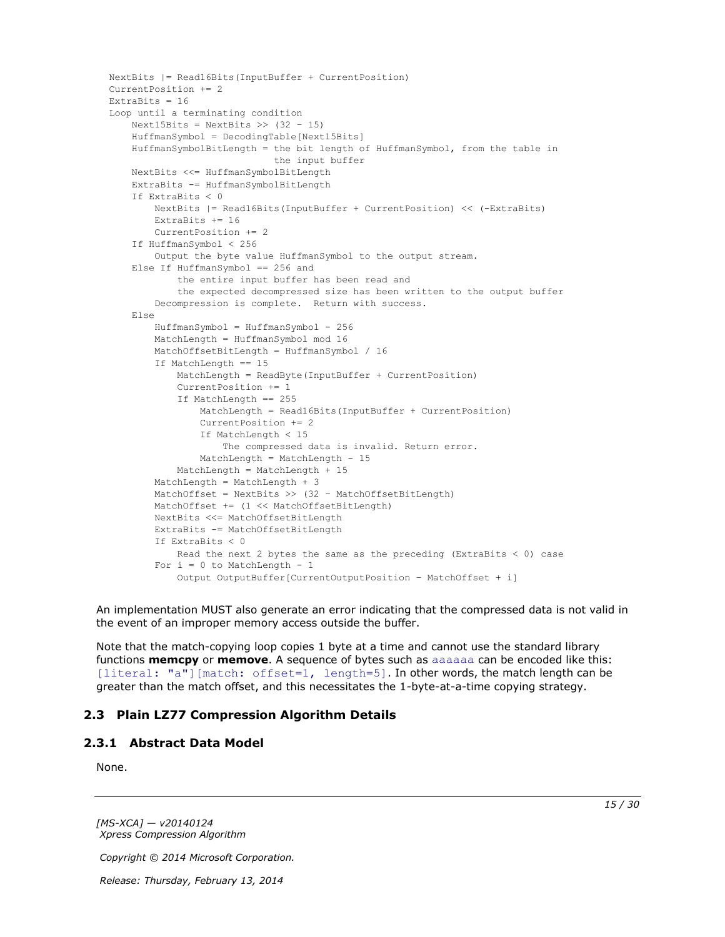```
NextBits |= Read16Bits(InputBuffer + CurrentPosition)
CurrentPosition += 2
ExtraBits = 16
Loop until a terminating condition
    Next15Bits = NextBits >> (32 - 15) HuffmanSymbol = DecodingTable[Next15Bits]
     HuffmanSymbolBitLength = the bit length of HuffmanSymbol, from the table in
                              the input buffer
     NextBits <<= HuffmanSymbolBitLength
     ExtraBits -= HuffmanSymbolBitLength
     If ExtraBits < 0
         NextBits |= Read16Bits(InputBuffer + CurrentPosition) << (-ExtraBits)
         ExtraBits += 16
         CurrentPosition += 2
     If HuffmanSymbol < 256
         Output the byte value HuffmanSymbol to the output stream.
     Else If HuffmanSymbol == 256 and
             the entire input buffer has been read and
             the expected decompressed size has been written to the output buffer
         Decompression is complete. Return with success.
     Else
         HuffmanSymbol = HuffmanSymbol - 256
         MatchLength = HuffmanSymbol mod 16
         MatchOffsetBitLength = HuffmanSymbol / 16
         If MatchLength == 15
             MatchLength = ReadByte(InputBuffer + CurrentPosition)
             CurrentPosition += 1
             If MatchLength == 255
                 MatchLength = Read16Bits(InputBuffer + CurrentPosition)
                 CurrentPosition += 2
                 If MatchLength < 15
                     The compressed data is invalid. Return error.
                 MatchLength = MatchLength - 15
             MatchLength = MatchLength + 15
         MatchLength = MatchLength + 3
         MatchOffset = NextBits >> (32 – MatchOffsetBitLength)
         MatchOffset += (1 << MatchOffsetBitLength)
         NextBits <<= MatchOffsetBitLength
         ExtraBits -= MatchOffsetBitLength
         If ExtraBits < 0
           Read the next 2 bytes the same as the preceding (ExtraBits < 0) case
        For i = 0 to MatchLength - 1
             Output OutputBuffer[CurrentOutputPosition – MatchOffset + i]
```
An implementation MUST also generate an error indicating that the compressed data is not valid in the event of an improper memory access outside the buffer.

Note that the match-copying loop copies 1 byte at a time and cannot use the standard library functions **memcpy** or **memove**. A sequence of bytes such as aaaaaa can be encoded like this: [literal: "a"] [match: offset=1, length=5]. In other words, the match length can be greater than the match offset, and this necessitates the 1-byte-at-a-time copying strategy.

### <span id="page-14-0"></span>**2.3 Plain LZ77 Compression Algorithm Details**

#### <span id="page-14-1"></span>**2.3.1 Abstract Data Model**

<span id="page-14-3"></span><span id="page-14-2"></span>None.

*[MS-XCA] — v20140124 Xpress Compression Algorithm* 

*Copyright © 2014 Microsoft Corporation.*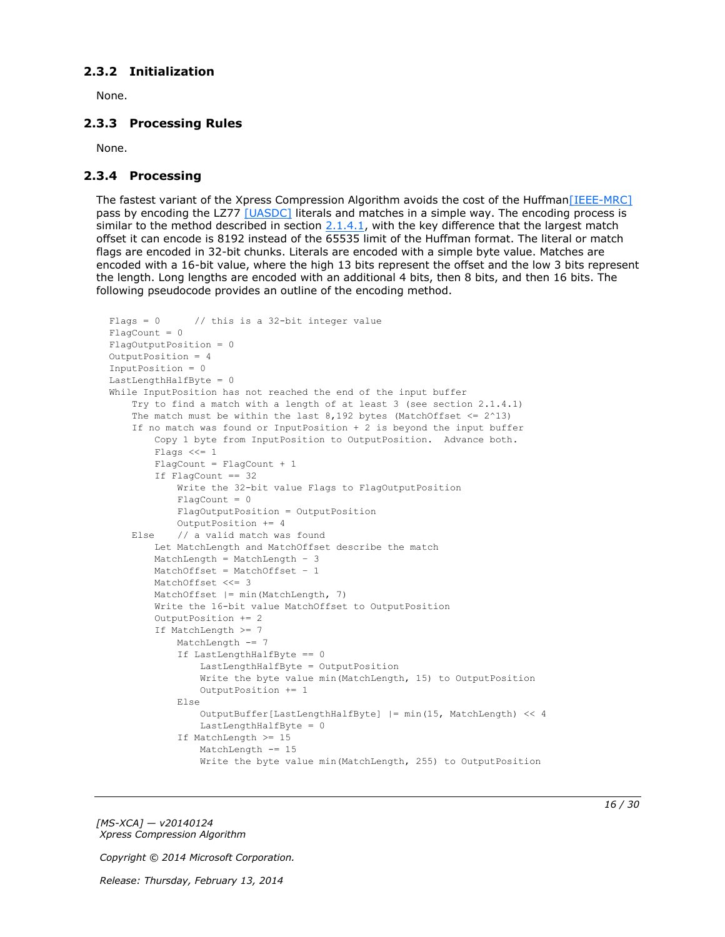## <span id="page-15-0"></span>**2.3.2 Initialization**

<span id="page-15-5"></span><span id="page-15-3"></span>None.

## <span id="page-15-1"></span>**2.3.3 Processing Rules**

<span id="page-15-4"></span>None.

## <span id="page-15-2"></span>**2.3.4 Processing**

The fastest variant of the Xpress Compression Algorithm avoids the cost of the Huffma[n\[IEEE-MRC\]](http://go.microsoft.com/fwlink/?LinkId=227659) pass by encoding the LZ77 [\[UASDC\]](http://go.microsoft.com/fwlink/?LinkId=90549) literals and matches in a simple way. The encoding process is similar to the method described in section  $2.1.4.1$ , with the key difference that the largest match offset it can encode is 8192 instead of the 65535 limit of the Huffman format. The literal or match flags are encoded in 32-bit chunks. Literals are encoded with a simple byte value. Matches are encoded with a 16-bit value, where the high 13 bits represent the offset and the low 3 bits represent the length. Long lengths are encoded with an additional 4 bits, then 8 bits, and then 16 bits. The following pseudocode provides an outline of the encoding method.

```
Flags = 0 // this is a 32-bit integer value
FlacCount = 0FlagOutputPosition = 0
OutputPosition = 4
InputPosition = 0
LastLengthHalfByte = 0
While InputPosition has not reached the end of the input buffer
     Try to find a match with a length of at least 3 (see section 2.1.4.1)
    The match must be within the last 8,192 bytes (MatchOffset \leq 2^13)
     If no match was found or InputPosition + 2 is beyond the input buffer
         Copy 1 byte from InputPosition to OutputPosition. Advance both.
         Flags <<= 1
         FlagCount = FlagCount + 1
         If FlagCount == 32
             Write the 32-bit value Flags to FlagOutputPosition
            FlagCount = 0 FlagOutputPosition = OutputPosition
             OutputPosition += 4
     Else // a valid match was found
         Let MatchLength and MatchOffset describe the match
         MatchLength = MatchLength – 3
         MatchOffset = MatchOffset – 1
        MatchOffset <<= 3
         MatchOffset |= min(MatchLength, 7)
         Write the 16-bit value MatchOffset to OutputPosition
         OutputPosition += 2
         If MatchLength >= 7
            MatchLength -= 7
             If LastLengthHalfByte == 0
                 LastLengthHalfByte = OutputPosition
                 Write the byte value min(MatchLength, 15) to OutputPosition
                 OutputPosition += 1
             Else
                OutputBuffer[LastLengthHalfByte] |= min(15, MatchLength) << 4
                 LastLengthHalfByte = 0
             If MatchLength >= 15
                MatchLength -= 15
                 Write the byte value min(MatchLength, 255) to OutputPosition
```
*[MS-XCA] — v20140124 Xpress Compression Algorithm* 

*Copyright © 2014 Microsoft Corporation.*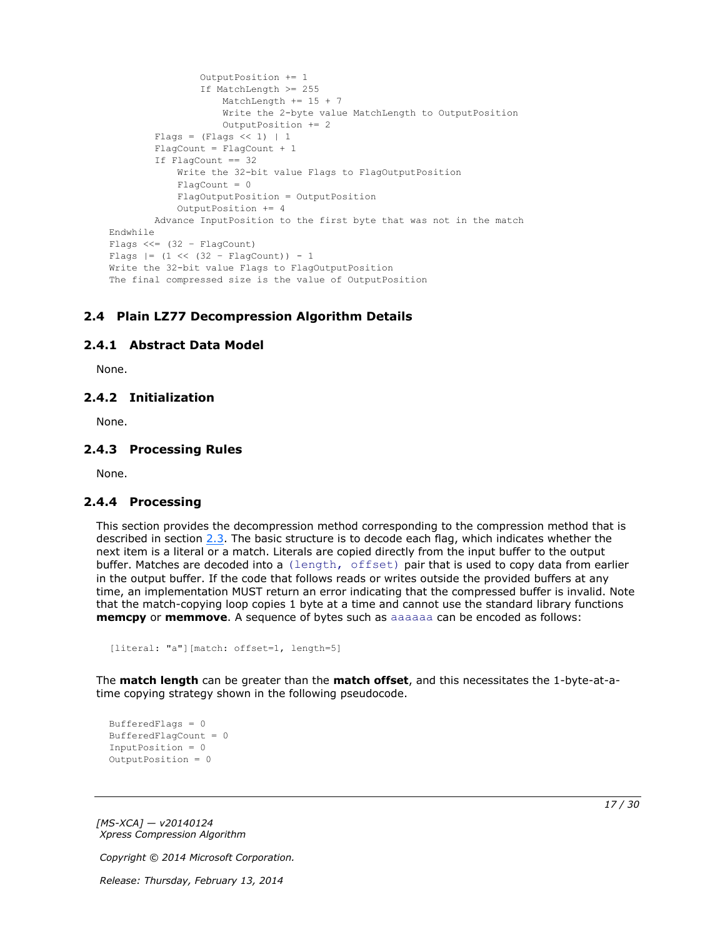```
 OutputPosition += 1
                  If MatchLength >= 255
                      MatchLength += 15 + 7
                     Write the 2-byte value MatchLength to OutputPosition
                     OutputPosition += 2
        Flags = (Flags << 1) | 1
         FlagCount = FlagCount + 1
         If FlagCount == 32
             Write the 32-bit value Flags to FlagOutputPosition
            Fla<sub>q</sub>Count = 0 FlagOutputPosition = OutputPosition
             OutputPosition += 4
         Advance InputPosition to the first byte that was not in the match
Endwhile
Flags << = (32 - FlaqCount)Flags |= (1 \lt\lt (32 - \text{FlagCount})) - 1Write the 32-bit value Flags to FlagOutputPosition
The final compressed size is the value of OutputPosition
```
# <span id="page-16-0"></span>**2.4 Plain LZ77 Decompression Algorithm Details**

### <span id="page-16-1"></span>**2.4.1 Abstract Data Model**

<span id="page-16-7"></span><span id="page-16-6"></span><span id="page-16-5"></span>None.

## <span id="page-16-2"></span>**2.4.2 Initialization**

<span id="page-16-9"></span>None.

#### <span id="page-16-3"></span>**2.4.3 Processing Rules**

<span id="page-16-8"></span>None.

### <span id="page-16-4"></span>**2.4.4 Processing**

This section provides the decompression method corresponding to the compression method that is described in section [2.3.](#page-14-2) The basic structure is to decode each flag, which indicates whether the next item is a literal or a match. Literals are copied directly from the input buffer to the output buffer. Matches are decoded into a (length, offset) pair that is used to copy data from earlier in the output buffer. If the code that follows reads or writes outside the provided buffers at any time, an implementation MUST return an error indicating that the compressed buffer is invalid. Note that the match-copying loop copies 1 byte at a time and cannot use the standard library functions **memcpy** or **memmove**. A sequence of bytes such as aaaaaa can be encoded as follows:

```
[literal: "a"][match: offset=1, length=5]
```
The **match length** can be greater than the **match offset**, and this necessitates the 1-byte-at-atime copying strategy shown in the following pseudocode.

```
BufferedFlags = 0
BufferedFlagCount = 0
InputPosition = 0
OutputPosition = 0
```
*[MS-XCA] — v20140124 Xpress Compression Algorithm* 

*Copyright © 2014 Microsoft Corporation.*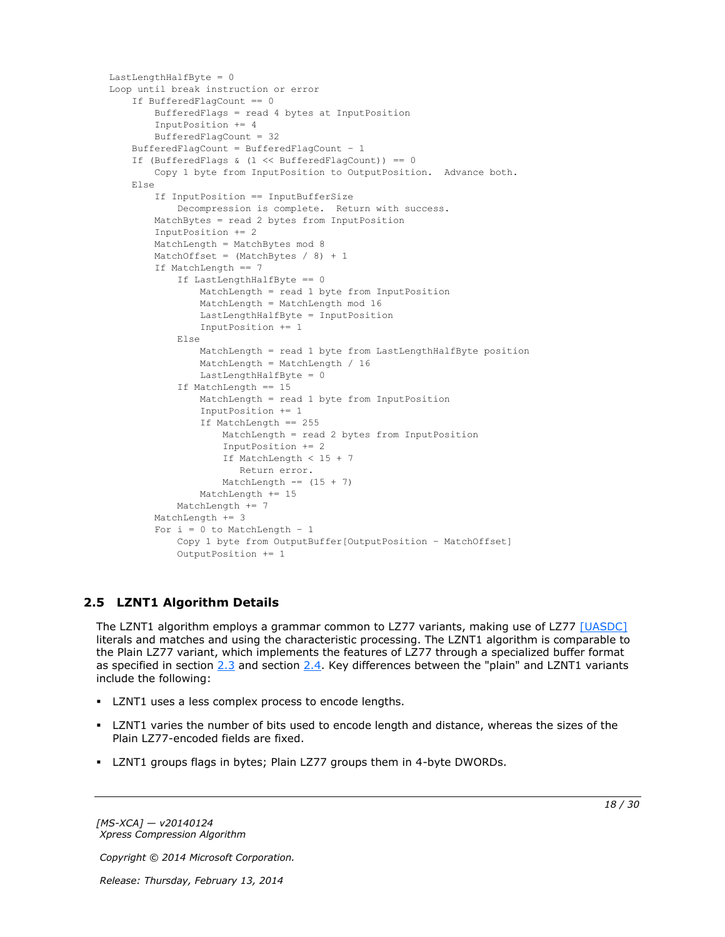```
LastLengthHalfByte = 0
Loop until break instruction or error
     If BufferedFlagCount == 0
        BufferedFlags = read 4 bytes at InputPosition
         InputPosition += 4
         BufferedFlagCount = 32
     BufferedFlagCount = BufferedFlagCount – 1
     If (BufferedFlags & (1 << BufferedFlagCount)) == 0
        Copy 1 byte from InputPosition to OutputPosition. Advance both.
     Else
         If InputPosition == InputBufferSize
             Decompression is complete. Return with success.
         MatchBytes = read 2 bytes from InputPosition
         InputPosition += 2
         MatchLength = MatchBytes mod 8
        MatchOffset = (MatchBytes / 8) + 1 If MatchLength == 7
             If LastLengthHalfByte == 0
                 MatchLength = read 1 byte from InputPosition
                MatchLength = MatchLength mod 16
                LastLengthHalfByte = InputPosition
                InputPosition += 1
             Else
                MatchLength = read 1 byte from LastLengthHalfByte position
                 MatchLength = MatchLength / 16
                 LastLengthHalfByte = 0
             If MatchLength == 15
                 MatchLength = read 1 byte from InputPosition
                 InputPosition += 1
                 If MatchLength == 255
                    MatchLength = read 2 bytes from InputPosition
                    InputPosition += 2
                   If MatchLength < 15 + 7
                       Return error.
                    MatchLength == (15 + 7) MatchLength += 15
            MatchLength += 7
         MatchLength += 3
        For i = 0 to MatchLength - 1
             Copy 1 byte from OutputBuffer[OutputPosition – MatchOffset]
             OutputPosition += 1
```
# <span id="page-17-0"></span>**2.5 LZNT1 Algorithm Details**

<span id="page-17-1"></span>The LZNT1 algorithm employs a grammar common to LZ77 variants, making use of LZ77 [\[UASDC\]](http://go.microsoft.com/fwlink/?LinkId=90549) literals and matches and using the characteristic processing. The LZNT1 algorithm is comparable to the Plain LZ77 variant, which implements the features of LZ77 through a specialized buffer format as specified in section [2.3](#page-14-2) and section [2.4.](#page-16-5) Key differences between the "plain" and LZNT1 variants include the following:

- **LZNT1** uses a less complex process to encode lengths.
- LZNT1 varies the number of bits used to encode length and distance, whereas the sizes of the Plain LZ77-encoded fields are fixed.
- LZNT1 groups flags in bytes; Plain LZ77 groups them in 4-byte DWORDs.

*[MS-XCA] — v20140124 Xpress Compression Algorithm* 

*Copyright © 2014 Microsoft Corporation.*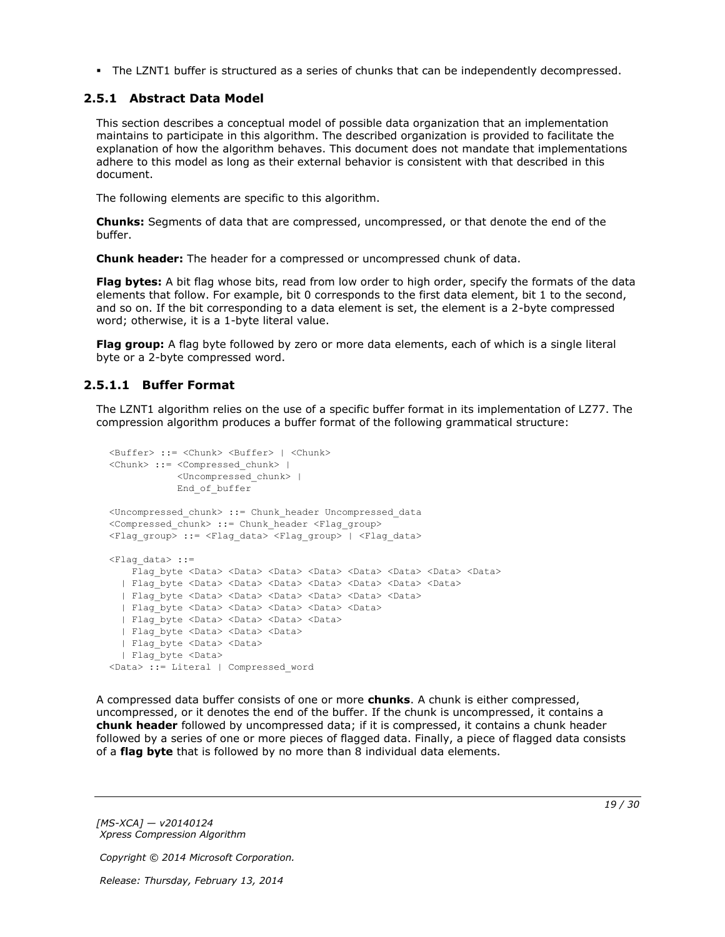<span id="page-18-2"></span>The LZNT1 buffer is structured as a series of chunks that can be independently decompressed.

## <span id="page-18-0"></span>**2.5.1 Abstract Data Model**

This section describes a conceptual model of possible data organization that an implementation maintains to participate in this algorithm. The described organization is provided to facilitate the explanation of how the algorithm behaves. This document does not mandate that implementations adhere to this model as long as their external behavior is consistent with that described in this document.

The following elements are specific to this algorithm.

**Chunks:** Segments of data that are compressed, uncompressed, or that denote the end of the buffer.

**Chunk header:** The header for a compressed or uncompressed chunk of data.

**Flag bytes:** A bit flag whose bits, read from low order to high order, specify the formats of the data elements that follow. For example, bit 0 corresponds to the first data element, bit 1 to the second, and so on. If the bit corresponding to a data element is set, the element is a 2-byte compressed word; otherwise, it is a 1-byte literal value.

**Flag group:** A flag byte followed by zero or more data elements, each of which is a single literal byte or a 2-byte compressed word.

## <span id="page-18-1"></span>**2.5.1.1 Buffer Format**

<span id="page-18-3"></span>The LZNT1 algorithm relies on the use of a specific buffer format in its implementation of LZ77. The compression algorithm produces a buffer format of the following grammatical structure:

```
<Buffer> ::= <Chunk> <Buffer> | <Chunk>
<Chunk> ::= <Compressed_chunk> | 
            <Uncompressed_chunk> |
             End_of_buffer
<Uncompressed_chunk> ::= Chunk_header Uncompressed_data
<Compressed_chunk> ::= Chunk_header <Flag_group>
<Flag_group> ::= <Flag_data> <Flag_group> | <Flag_data>
\langleFlag data> ::=
   Flag byte <Data> <Data> <Data> <Data> <Data> <Data> <Data> <Data> <Data> <Data> <Data> <Data> <Data
   | Flag_byte <Data> <Data> <Data> <Data> <Data> <Data> <Data>
  | Flag_byte <Data> <Data> <Data> <Data> <Data> <Data>
  | Flag_byte <Data> <Data> <Data> <Data> <Data>
 | Flag_byte <Data> <Data> <Data> <Data>
  | Flag_byte <Data> <Data> <Data> 
  | Flag_byte <Data> <Data>
   | Flag_byte <Data> 
<Data> ::= Literal | Compressed_word
```
A compressed data buffer consists of one or more **chunks**. A chunk is either compressed, uncompressed, or it denotes the end of the buffer. If the chunk is uncompressed, it contains a **chunk header** followed by uncompressed data; if it is compressed, it contains a chunk header followed by a series of one or more pieces of flagged data. Finally, a piece of flagged data consists of a **flag byte** that is followed by no more than 8 individual data elements.

*[MS-XCA] — v20140124 Xpress Compression Algorithm* 

*Copyright © 2014 Microsoft Corporation.*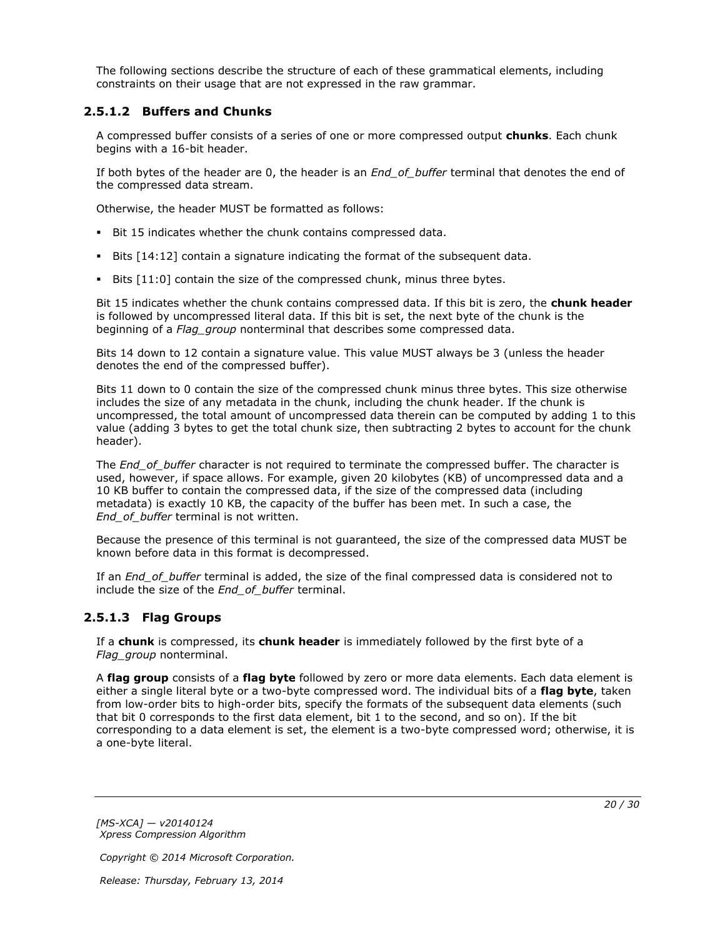The following sections describe the structure of each of these grammatical elements, including constraints on their usage that are not expressed in the raw grammar.

## <span id="page-19-0"></span>**2.5.1.2 Buffers and Chunks**

A compressed buffer consists of a series of one or more compressed output **chunks**. Each chunk begins with a 16-bit header.

If both bytes of the header are 0, the header is an *End\_of\_buffer* terminal that denotes the end of the compressed data stream.

Otherwise, the header MUST be formatted as follows:

- Bit 15 indicates whether the chunk contains compressed data.
- Bits [14:12] contain a signature indicating the format of the subsequent data.
- Bits [11:0] contain the size of the compressed chunk, minus three bytes.

Bit 15 indicates whether the chunk contains compressed data. If this bit is zero, the **chunk header** is followed by uncompressed literal data. If this bit is set, the next byte of the chunk is the beginning of a *Flag\_group* nonterminal that describes some compressed data.

Bits 14 down to 12 contain a signature value. This value MUST always be 3 (unless the header denotes the end of the compressed buffer).

Bits 11 down to 0 contain the size of the compressed chunk minus three bytes. This size otherwise includes the size of any metadata in the chunk, including the chunk header. If the chunk is uncompressed, the total amount of uncompressed data therein can be computed by adding 1 to this value (adding 3 bytes to get the total chunk size, then subtracting 2 bytes to account for the chunk header).

The *End* of buffer character is not required to terminate the compressed buffer. The character is used, however, if space allows. For example, given 20 kilobytes (KB) of uncompressed data and a 10 KB buffer to contain the compressed data, if the size of the compressed data (including metadata) is exactly 10 KB, the capacity of the buffer has been met. In such a case, the *End\_of\_buffer* terminal is not written.

Because the presence of this terminal is not guaranteed, the size of the compressed data MUST be known before data in this format is decompressed.

If an *End\_of\_buffer* terminal is added, the size of the final compressed data is considered not to include the size of the *End\_of\_buffer* terminal.

## <span id="page-19-1"></span>**2.5.1.3 Flag Groups**

If a **chunk** is compressed, its **chunk header** is immediately followed by the first byte of a *Flag\_group* nonterminal.

A **flag group** consists of a **flag byte** followed by zero or more data elements. Each data element is either a single literal byte or a two-byte compressed word. The individual bits of a **flag byte**, taken from low-order bits to high-order bits, specify the formats of the subsequent data elements (such that bit 0 corresponds to the first data element, bit 1 to the second, and so on). If the bit corresponding to a data element is set, the element is a two-byte compressed word; otherwise, it is a one-byte literal.

*[MS-XCA] — v20140124 Xpress Compression Algorithm* 

*Copyright © 2014 Microsoft Corporation.*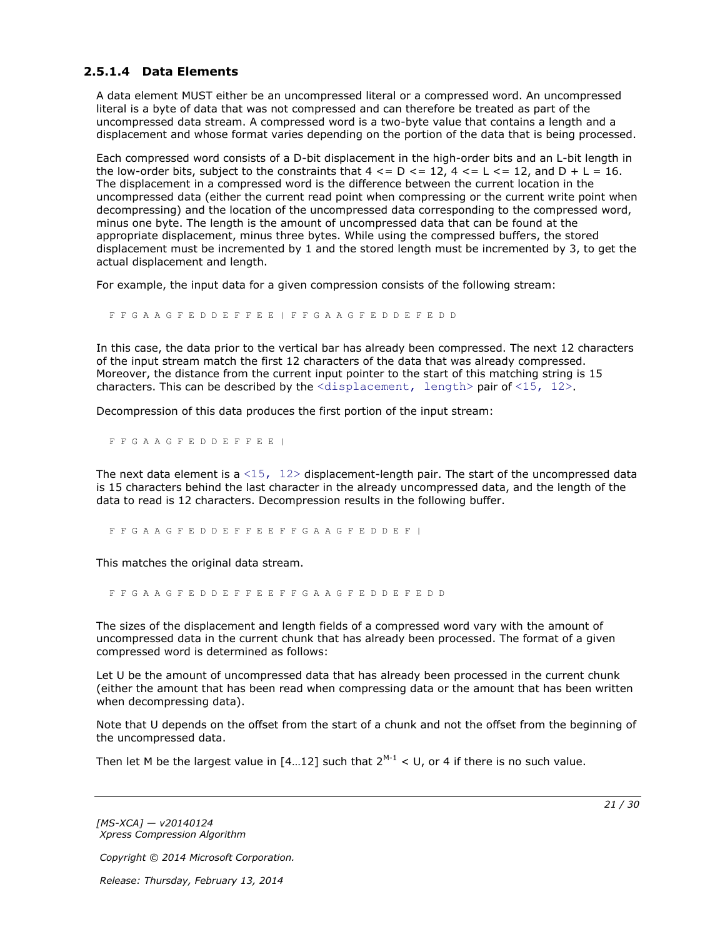## <span id="page-20-0"></span>**2.5.1.4 Data Elements**

A data element MUST either be an uncompressed literal or a compressed word. An uncompressed literal is a byte of data that was not compressed and can therefore be treated as part of the uncompressed data stream. A compressed word is a two-byte value that contains a length and a displacement and whose format varies depending on the portion of the data that is being processed.

Each compressed word consists of a D-bit displacement in the high-order bits and an L-bit length in the low-order bits, subject to the constraints that  $4 \leq D \leq 12$ ,  $4 \leq L \leq 12$ , and  $D + L = 16$ . The displacement in a compressed word is the difference between the current location in the uncompressed data (either the current read point when compressing or the current write point when decompressing) and the location of the uncompressed data corresponding to the compressed word, minus one byte. The length is the amount of uncompressed data that can be found at the appropriate displacement, minus three bytes. While using the compressed buffers, the stored displacement must be incremented by 1 and the stored length must be incremented by 3, to get the actual displacement and length.

For example, the input data for a given compression consists of the following stream:

F F G A A G F E D D E F F E E | F F G A A G F E D D E F E D D

In this case, the data prior to the vertical bar has already been compressed. The next 12 characters of the input stream match the first 12 characters of the data that was already compressed. Moreover, the distance from the current input pointer to the start of this matching string is 15 characters. This can be described by the  $\langle$ displacement, length> pair of  $\langle 15, 12 \rangle$ .

Decompression of this data produces the first portion of the input stream:

F F G A A G F E D D E F F E E |

The next data element is a  $\langle 15, 12 \rangle$  displacement-length pair. The start of the uncompressed data is 15 characters behind the last character in the already uncompressed data, and the length of the data to read is 12 characters. Decompression results in the following buffer.

F F G A A G F E D D E F F E E F F G A A G F E D D E F |

This matches the original data stream.

F F G A A G F E D D E F F E E F F G A A G F E D D E F E D D

The sizes of the displacement and length fields of a compressed word vary with the amount of uncompressed data in the current chunk that has already been processed. The format of a given compressed word is determined as follows:

Let U be the amount of uncompressed data that has already been processed in the current chunk (either the amount that has been read when compressing data or the amount that has been written when decompressing data).

Note that U depends on the offset from the start of a chunk and not the offset from the beginning of the uncompressed data.

Then let M be the largest value in  $[4...12]$  such that  $2^{M-1}$  < U, or 4 if there is no such value.

*[MS-XCA] — v20140124 Xpress Compression Algorithm* 

*Copyright © 2014 Microsoft Corporation.*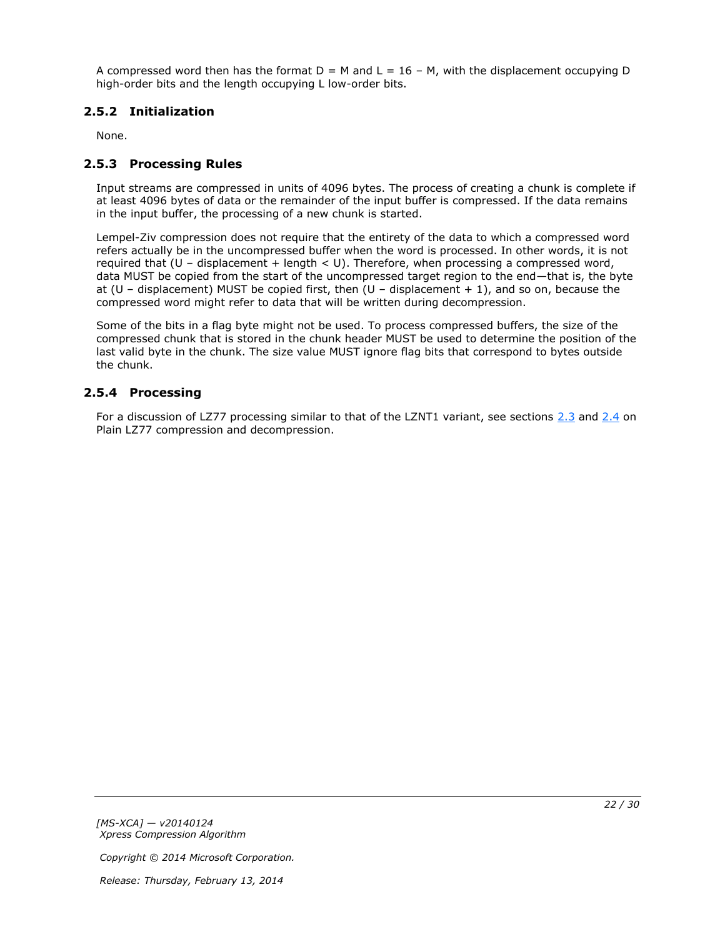A compressed word then has the format  $D = M$  and  $L = 16 - M$ , with the displacement occupying D high-order bits and the length occupying L low-order bits.

# <span id="page-21-0"></span>**2.5.2 Initialization**

<span id="page-21-5"></span><span id="page-21-3"></span>None.

# <span id="page-21-1"></span>**2.5.3 Processing Rules**

Input streams are compressed in units of 4096 bytes. The process of creating a chunk is complete if at least 4096 bytes of data or the remainder of the input buffer is compressed. If the data remains in the input buffer, the processing of a new chunk is started.

Lempel-Ziv compression does not require that the entirety of the data to which a compressed word refers actually be in the uncompressed buffer when the word is processed. In other words, it is not required that (U – displacement + length < U). Therefore, when processing a compressed word, data MUST be copied from the start of the uncompressed target region to the end—that is, the byte at (U – displacement) MUST be copied first, then (U – displacement  $+1$ ), and so on, because the compressed word might refer to data that will be written during decompression.

Some of the bits in a flag byte might not be used. To process compressed buffers, the size of the compressed chunk that is stored in the chunk header MUST be used to determine the position of the last valid byte in the chunk. The size value MUST ignore flag bits that correspond to bytes outside the chunk.

## <span id="page-21-2"></span>**2.5.4 Processing**

<span id="page-21-4"></span>For a discussion of LZ77 processing similar to that of the LZNT1 variant, see sections [2.3](#page-14-2) and [2.4](#page-16-5) on Plain LZ77 compression and decompression.

*Copyright © 2014 Microsoft Corporation.*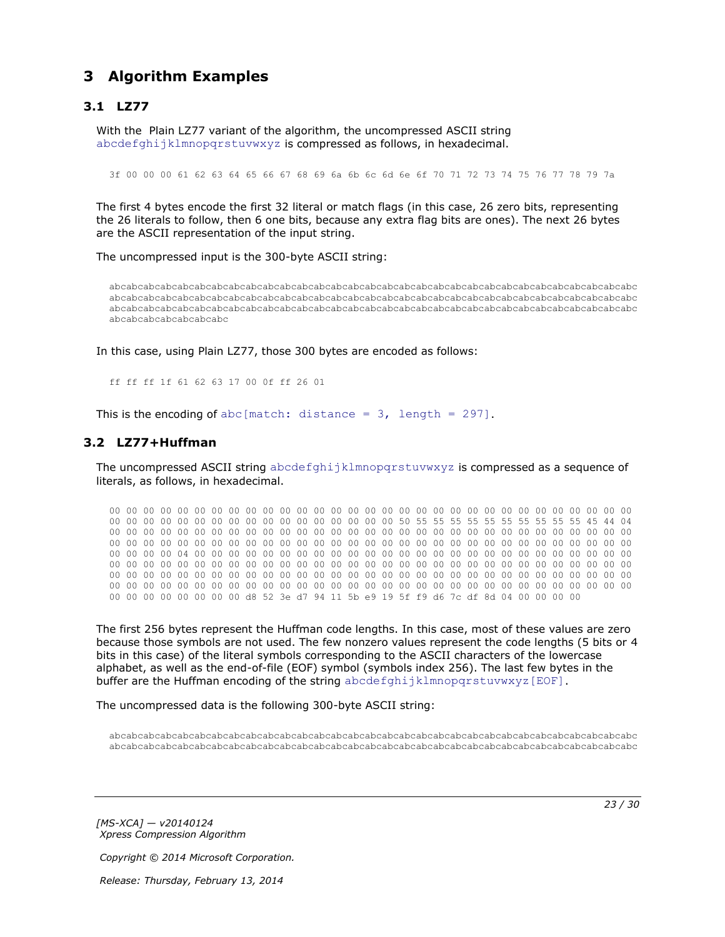# <span id="page-22-0"></span>**3 Algorithm Examples**

# <span id="page-22-1"></span>**3.1 LZ77**

<span id="page-22-3"></span>With the Plain LZ77 variant of the algorithm, the uncompressed ASCII string abcdefghijklmnopqrstuvwxyz is compressed as follows, in hexadecimal.

3f 00 00 00 61 62 63 64 65 66 67 68 69 6a 6b 6c 6d 6e 6f 70 71 72 73 74 75 76 77 78 79 7a

The first 4 bytes encode the first 32 literal or match flags (in this case, 26 zero bits, representing the 26 literals to follow, then 6 one bits, because any extra flag bits are ones). The next 26 bytes are the ASCII representation of the input string.

The uncompressed input is the 300-byte ASCII string:

abcabcabcabcabcabcabcabcabcabcabcabcabcabcabcabcabcabcabcabcabcabcabcabcabcabcabcabcabcabcabc abcabcabcabcabcabcabcabcabcabcabcabcabcabcabcabcabcabcabcabcabcabcabcabcabcabcabcabcabcabcabc abcabcabcabcabcabcabcabcabcabcabcabcabcabcabcabcabcabcabcabcabcabcabcabcabcabcabcabcabcabcabc abcabcabcabcabcabcabc

In this case, using Plain LZ77, those 300 bytes are encoded as follows:

<span id="page-22-4"></span>ff ff ff 1f 61 62 63 17 00 0f ff 26 01

This is the encoding of abc[match: distance =  $3$ , length = 297].

## <span id="page-22-2"></span>**3.2 LZ77+Huffman**

The uncompressed ASCII string abcdefghijklmnopgrstuvwxyz is compressed as a sequence of literals, as follows, in hexadecimal.

00 00 00 00 00 00 00 00 00 00 00 00 00 00 00 00 00 00 00 00 00 00 00 00 00 00 00 00 00 00 00 00 00 00 00 00 00 00 00 00 00 00 00 00 00 00 00 00 50 55 55 55 55 55 55 55 55 55 55 45 44 04 00 00 00 00 00 00 00 00 00 00 00 00 00 00 00 00 00 00 00 00 00 00 00 00 00 00 00 00 00 00 00 00 00 00 00 00 00 00 00 00 00 00 00 00 00 00 00 00 00 00 00 00 00 00 00 00 00 00 00 00 00 00 00 00 00 00 04 00 00 00 00 00 00 00 00 00 00 00 00 00 00 00 00 00 00 00 00 00 00 00 00 00 00 00 00 00 00 00 00 00 00 00 00 00 00 00 00 00 00 00 00 00 00 00 00 00 00 00 00 00 00 00 00 00 00 00 00 00 00 00 00 00 00 00 00 00 00 00 00 00 00 00 00 00 00 00 00 00 00 00 00 00 00 00 00 00 00 00 00 00 00 00 00 00 00 00 00 00 00 00 00 00 00 00 00 00 00 00 00 00 00 00 00 00 00 00 00 00 00 00 00 00 00 00 d8 52 3e d7 94 11 5b e9 19 5f f9 d6 7c df 8d 04 00 00 00 00

The first 256 bytes represent the Huffman code lengths. In this case, most of these values are zero because those symbols are not used. The few nonzero values represent the code lengths (5 bits or 4 bits in this case) of the literal symbols corresponding to the ASCII characters of the lowercase alphabet, as well as the end-of-file (EOF) symbol (symbols index 256). The last few bytes in the buffer are the Huffman encoding of the string abcdefghijklmnopgrstuvwxyz[EOF].

The uncompressed data is the following 300-byte ASCII string:

abcabcabcabcabcabcabcabcabcabcabcabcabcabcabcabcabcabcabcabcabcabcabcabcabcabcabcabcabcabcabc abcabcabcabcabcabcabcabcabcabcabcabcabcabcabcabcabcabcabcabcabcabcabcabcabcabcabcabcabcabcabc

*[MS-XCA] — v20140124 Xpress Compression Algorithm*  *23 / 30*

*Copyright © 2014 Microsoft Corporation.*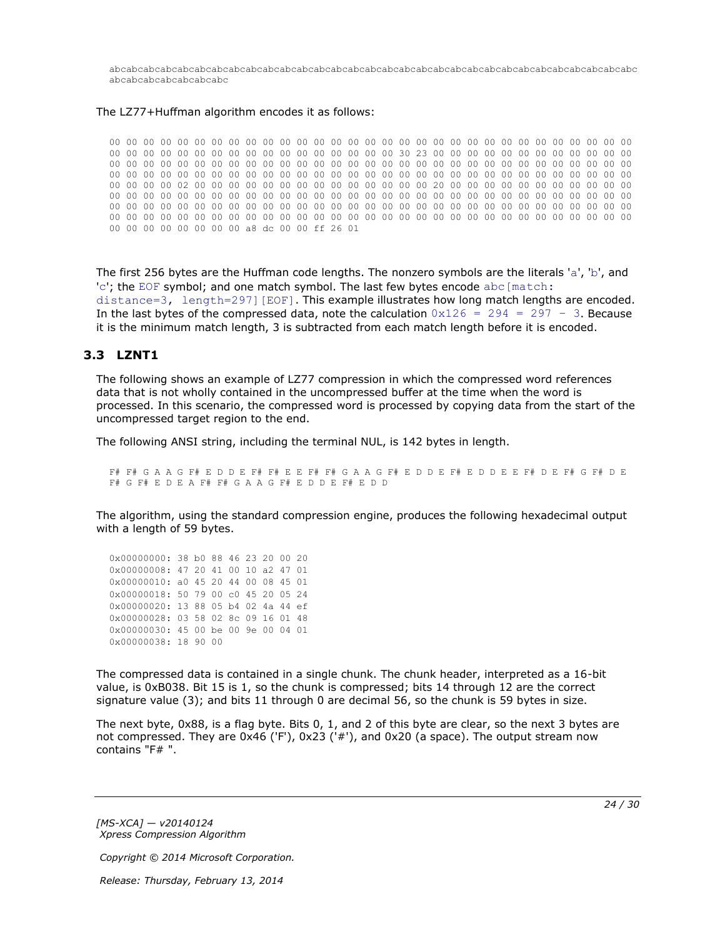abcabcabcabcabcabcabcabcabcabcabcabcabcabcabcabcabcabcabcabcabcabcabcabcabcabcabcabcabcabcabc abcabcabcabcabcabcabc

#### The LZ77+Huffman algorithm encodes it as follows:

00 00 00 00 00 00 00 00 00 00 00 00 00 00 00 00 00 00 00 00 00 00 00 00 00 00 00 00 00 00 00 00 00 00 00 00 00 00 00 00 00 00 00 00 00 00 00 00 30 23 00 00 00 00 00 00 00 00 00 00 00 00 00 00 00 00 00 00 00 00 00 00 00 00 00 00 00 00 00 00 00 00 00 00 00 00 00 00 00 00 00 00 00 00 00 00 00 00 00 00 00 00 00 00 00 00 00 00 00 00 00 00 00 00 00 00 00 00 00 00 00 00 00 00 00 00 00 00 02 00 00 00 00 00 00 00 00 00 00 00 00 00 00 20 00 00 00 00 00 00 00 00 00 00 00 00 00 00 00 00 00 00 00 00 00 00 00 00 00 00 00 00 00 00 00 00 00 00 00 00 00 00 00 00 00 00 00 00 00 00 00 00 00 00 00 00 00 00 00 00 00 00 00 00 00 00 00 00 00 00 00 00 00 00 00 00 00 00 00 00 00 00 00 00 00 00 00 00 00 00 00 00 00 00 00 00 00 00 00 00 00 00 00 00 00 00 00 00 00 00 00 00 00 00 00 00 a8 dc 00 00 ff 26 01

The first 256 bytes are the Huffman code lengths. The nonzero symbols are the literals 'a', 'b', and 'c'; the EOF symbol; and one match symbol. The last few bytes encode abc [match: distance=3, length=297][EOF]. This example illustrates how long match lengths are encoded. In the last bytes of the compressed data, note the calculation  $0x126 = 294 = 297 - 3$ . Because it is the minimum match length, 3 is subtracted from each match length before it is encoded.

#### <span id="page-23-0"></span>**3.3 LZNT1**

<span id="page-23-1"></span>The following shows an example of LZ77 compression in which the compressed word references data that is not wholly contained in the uncompressed buffer at the time when the word is processed. In this scenario, the compressed word is processed by copying data from the start of the uncompressed target region to the end.

The following ANSI string, including the terminal NUL, is 142 bytes in length.

F# F# G A A G F# E D D E F# F# E E F# F# G A A G F# E D D E F# E D D E E F# D E F# G F# D E F# G F# E D E A F# F# G A A G F# E D D E F# E D D

The algorithm, using the standard compression engine, produces the following hexadecimal output with a length of 59 bytes.

0x00000000: 38 b0 88 46 23 20 00 20 0x00000008: 47 20 41 00 10 a2 47 01 0x00000010: a0 45 20 44 00 08 45 01 0x00000018: 50 79 00 c0 45 20 05 24 0x00000020: 13 88 05 b4 02 4a 44 ef 0x00000028: 03 58 02 8c 09 16 01 48 0x00000030: 45 00 be 00 9e 00 04 01 0x00000038: 18 90 00

The compressed data is contained in a single chunk. The chunk header, interpreted as a 16-bit value, is 0xB038. Bit 15 is 1, so the chunk is compressed; bits 14 through 12 are the correct signature value (3); and bits 11 through 0 are decimal 56, so the chunk is 59 bytes in size.

The next byte, 0x88, is a flag byte. Bits 0, 1, and 2 of this byte are clear, so the next 3 bytes are not compressed. They are 0x46 ('F'), 0x23 ('#'), and 0x20 (a space). The output stream now contains "F# ".

*[MS-XCA] — v20140124 Xpress Compression Algorithm* 

*Copyright © 2014 Microsoft Corporation.*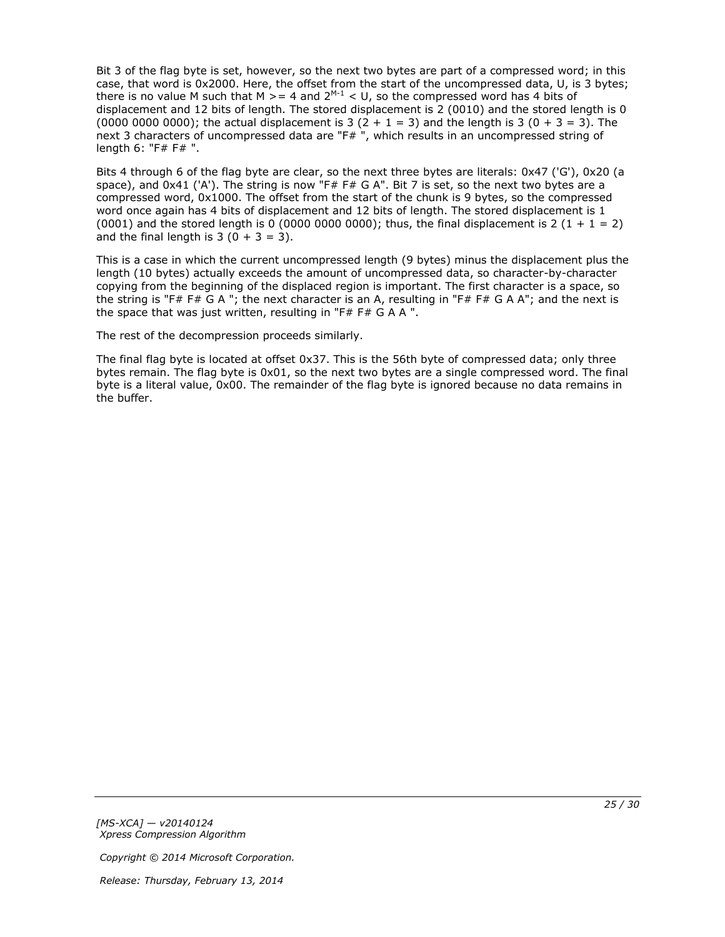Bit 3 of the flag byte is set, however, so the next two bytes are part of a compressed word; in this case, that word is 0x2000. Here, the offset from the start of the uncompressed data, U, is 3 bytes; there is no value M such that M  $>= 4$  and 2<sup>M-1</sup> < U, so the compressed word has 4 bits of displacement and 12 bits of length. The stored displacement is 2 (0010) and the stored length is 0 (0000 0000 0000); the actual displacement is 3  $(2 + 1 = 3)$  and the length is 3  $(0 + 3 = 3)$ . The next 3 characters of uncompressed data are "F#", which results in an uncompressed string of length 6: "F# F# ".

Bits 4 through 6 of the flag byte are clear, so the next three bytes are literals: 0x47 ('G'), 0x20 (a space), and  $0x41$  ('A'). The string is now "F# F# G A". Bit 7 is set, so the next two bytes are a compressed word, 0x1000. The offset from the start of the chunk is 9 bytes, so the compressed word once again has 4 bits of displacement and 12 bits of length. The stored displacement is 1 (0001) and the stored length is 0 (0000 0000 0000); thus, the final displacement is 2 (1 + 1 = 2) and the final length is  $3(0 + 3 = 3)$ .

This is a case in which the current uncompressed length (9 bytes) minus the displacement plus the length (10 bytes) actually exceeds the amount of uncompressed data, so character-by-character copying from the beginning of the displaced region is important. The first character is a space, so the string is "F# F# G A "; the next character is an A, resulting in "F# F# G A A"; and the next is the space that was just written, resulting in "F# F# G A A ".

The rest of the decompression proceeds similarly.

The final flag byte is located at offset 0x37. This is the 56th byte of compressed data; only three bytes remain. The flag byte is 0x01, so the next two bytes are a single compressed word. The final byte is a literal value, 0x00. The remainder of the flag byte is ignored because no data remains in the buffer.

*[MS-XCA] — v20140124 Xpress Compression Algorithm* 

*Copyright © 2014 Microsoft Corporation.*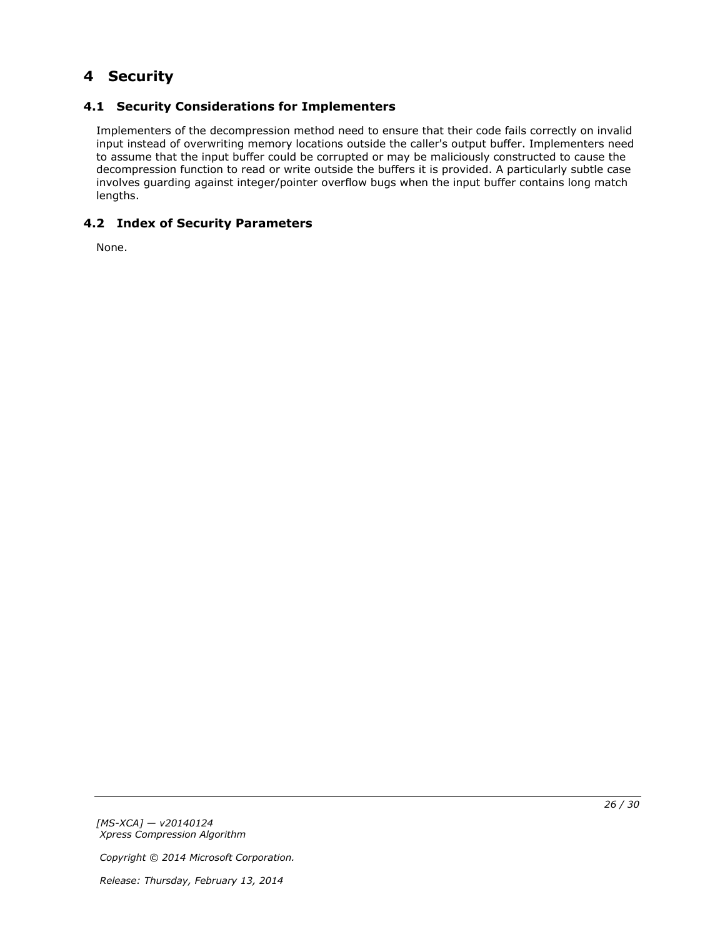# <span id="page-25-0"></span>**4 Security**

# <span id="page-25-1"></span>**4.1 Security Considerations for Implementers**

<span id="page-25-3"></span>Implementers of the decompression method need to ensure that their code fails correctly on invalid input instead of overwriting memory locations outside the caller's output buffer. Implementers need to assume that the input buffer could be corrupted or may be maliciously constructed to cause the decompression function to read or write outside the buffers it is provided. A particularly subtle case involves guarding against integer/pointer overflow bugs when the input buffer contains long match lengths.

# <span id="page-25-2"></span>**4.2 Index of Security Parameters**

<span id="page-25-4"></span>None.

*[MS-XCA] — v20140124 Xpress Compression Algorithm* 

*Copyright © 2014 Microsoft Corporation.*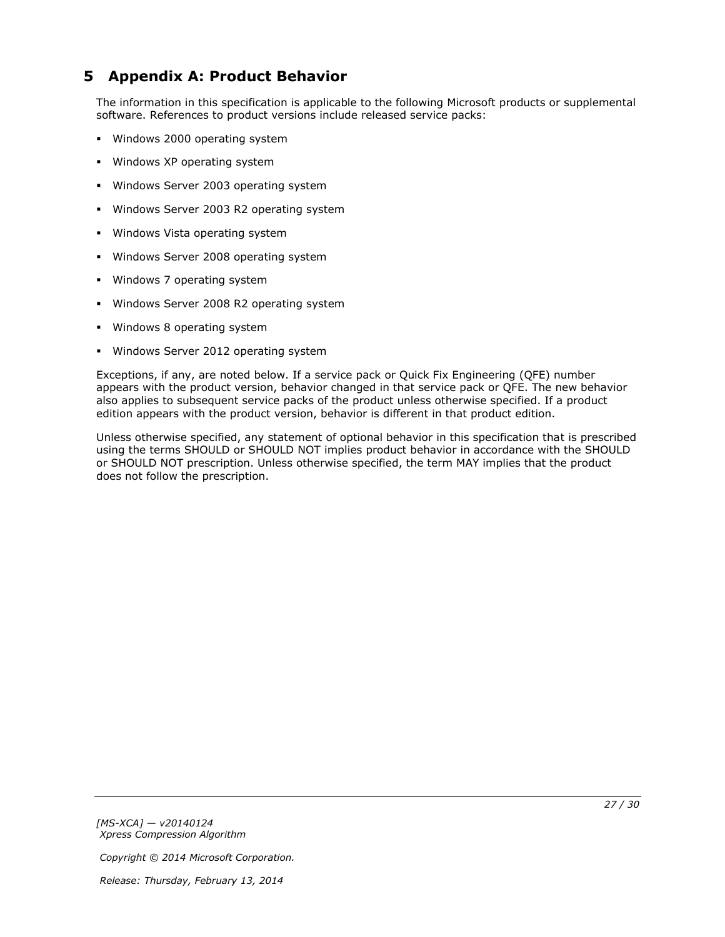# <span id="page-26-0"></span>**5 Appendix A: Product Behavior**

<span id="page-26-1"></span>The information in this specification is applicable to the following Microsoft products or supplemental software. References to product versions include released service packs:

- **Windows 2000 operating system**
- **Windows XP operating system**
- **Windows Server 2003 operating system**
- **Windows Server 2003 R2 operating system**
- **Windows Vista operating system**
- **Windows Server 2008 operating system**
- Windows 7 operating system
- Windows Server 2008 R2 operating system
- Windows 8 operating system
- **Windows Server 2012 operating system**

Exceptions, if any, are noted below. If a service pack or Quick Fix Engineering (QFE) number appears with the product version, behavior changed in that service pack or QFE. The new behavior also applies to subsequent service packs of the product unless otherwise specified. If a product edition appears with the product version, behavior is different in that product edition.

Unless otherwise specified, any statement of optional behavior in this specification that is prescribed using the terms SHOULD or SHOULD NOT implies product behavior in accordance with the SHOULD or SHOULD NOT prescription. Unless otherwise specified, the term MAY implies that the product does not follow the prescription.

*[MS-XCA] — v20140124 Xpress Compression Algorithm* 

*Copyright © 2014 Microsoft Corporation.*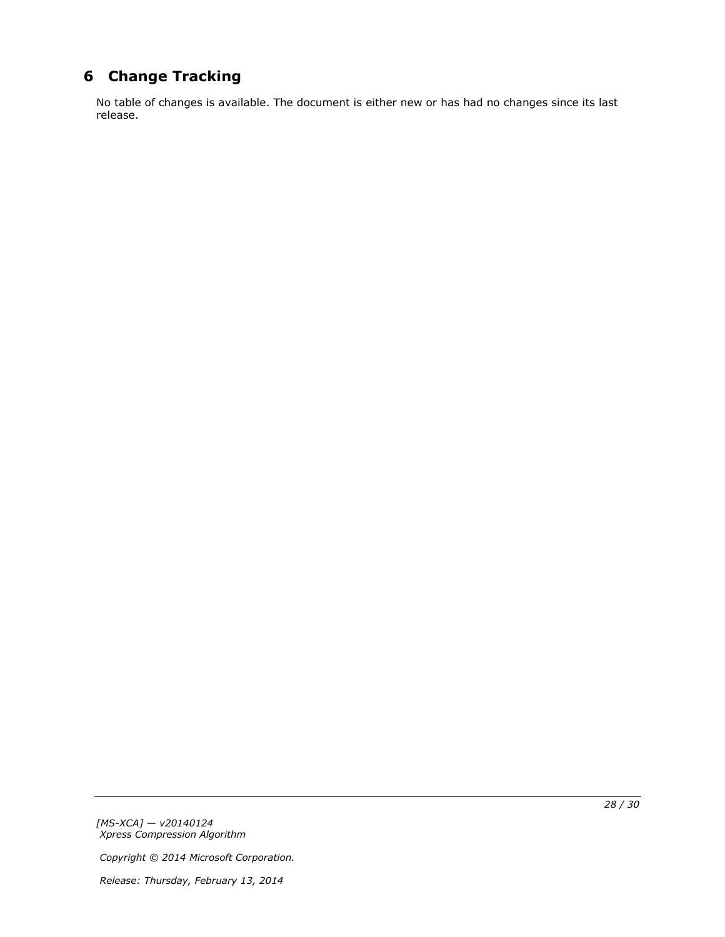# <span id="page-27-0"></span>**6 Change Tracking**

<span id="page-27-1"></span>No table of changes is available. The document is either new or has had no changes since its last release.

*[MS-XCA] — v20140124 Xpress Compression Algorithm* 

*Copyright © 2014 Microsoft Corporation.*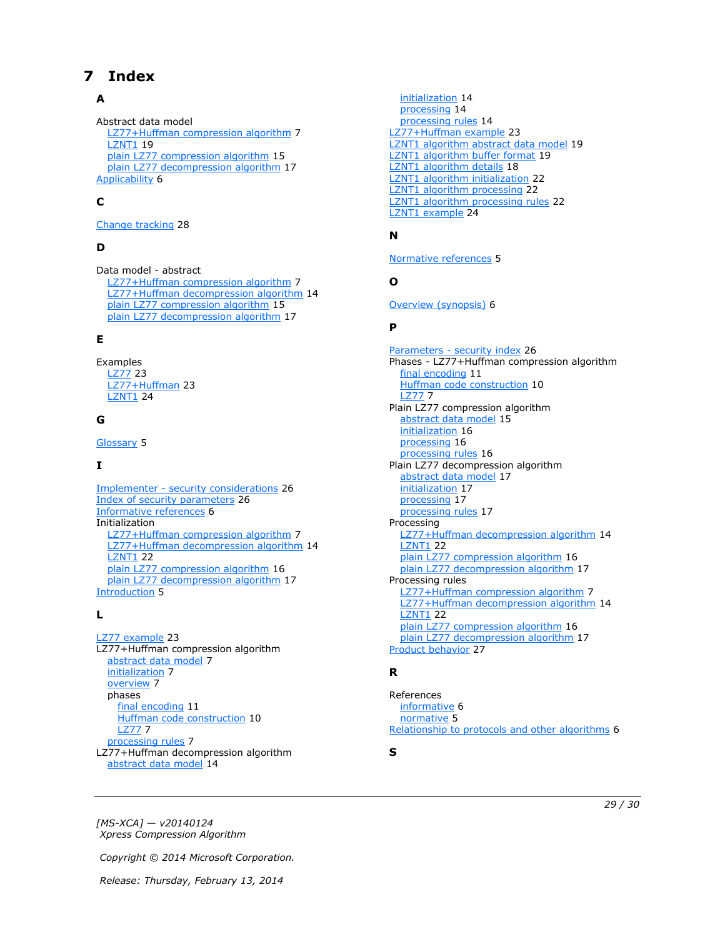# <span id="page-28-0"></span>**7 Index**

## **A**

Abstract data model [LZ77+Huffman compression algorithm](#page-6-8) 7 **[LZNT1](#page-18-2) 19** [plain LZ77 compression algorithm](#page-14-3) 15 [plain LZ77 decompression algorithm](#page-16-6) 17 [Applicability](#page-5-5) 6

## **C**

[Change tracking](#page-27-1) 28

## **D**

Data model - abstract [LZ77+Huffman compression algorithm](#page-6-8) 7 [LZ77+Huffman decompression algorithm](#page-13-5) 14 [plain LZ77 compression algorithm](#page-14-3) 15 [plain LZ77 decompression algorithm](#page-16-6) 17

## **E**

Examples [LZ77](#page-22-3) 23 [LZ77+Huffman](#page-22-4) 23 [LZNT1](#page-23-1) 24

## **G**

[Glossary](#page-4-10) 5

### **I**

Implementer - [security considerations](#page-25-3) 26 [Index of security parameters](#page-25-4) 26 [Informative references](#page-5-6) 6 Initialization [LZ77+Huffman compression algorithm](#page-6-9) 7 [LZ77+Huffman decompression algorithm](#page-13-6) 14 **[LZNT1](#page-21-3) 22** [plain LZ77 compression algorithm](#page-15-3) 16 [plain LZ77 decompression algorithm](#page-16-7) 17 [Introduction](#page-4-11)<sub>5</sub>

### **L**

[LZ77 example](#page-22-3) 23 LZ77+Huffman compression algorithm [abstract data model](#page-6-8) 7 [initialization](#page-6-9) 7 [overview](#page-6-10) 7 phases [final encoding](#page-10-1) 11 [Huffman code construction](#page-9-1) 10 [LZ77](#page-6-7) 7 [processing rules](#page-6-11) 7 LZ77+Huffman decompression algorithm [abstract data model](#page-13-5) 14

[initialization](#page-13-6) 14 [processing](#page-13-7) 14 [processing rules](#page-13-8) 14 [LZ77+Huffman example](#page-22-4) 23 [LZNT1 algorithm abstract data model](#page-18-2) 19 [LZNT1 algorithm buffer format](#page-18-3) 19 [LZNT1 algorithm details](#page-17-1) 18 [LZNT1 algorithm initialization](#page-21-3) 22 [LZNT1 algorithm processing](#page-21-4) 22 [LZNT1 algorithm processing rules](#page-21-5) 22 [LZNT1 example](#page-23-1) 24

# **N**

[Normative references](#page-4-12) 5

### **O**

[Overview \(synopsis\)](#page-5-7) 6

#### **P**

Parameters - [security index](#page-25-4) 26 Phases - LZ77+Huffman compression algorithm [final encoding](#page-10-1) 11 [Huffman code construction](#page-9-1) 10 [LZ77](#page-6-7) 7 Plain LZ77 compression algorithm [abstract data model](#page-14-3) 15 [initialization](#page-15-3) 16 [processing](#page-15-4) 16 [processing rules](#page-15-5) 16 Plain LZ77 decompression algorithm [abstract data model](#page-16-6) 17 [initialization](#page-16-7) 17 [processing](#page-16-8) 17 [processing rules](#page-16-9) 17 Processing [LZ77+Huffman decompression algorithm](#page-13-7) 14 **[LZNT1](#page-21-4) 22** [plain LZ77 compression algorithm](#page-15-4) 16 [plain LZ77 decompression algorithm](#page-16-8) 17 Processing rules [LZ77+Huffman compression algorithm](#page-6-11) 7 [LZ77+Huffman decompression algorithm](#page-13-8) 14 [LZNT1](#page-21-5) 22 [plain LZ77 compression algorithm](#page-15-5) 16 [plain LZ77 decompression algorithm](#page-16-9) 17 [Product behavior](#page-26-1) 27

### **R**

References [informative](#page-5-6) 6 [normative](#page-4-12) 5 [Relationship to protocols and other algorithms](#page-5-8) 6

**S**

*[MS-XCA] — v20140124 Xpress Compression Algorithm* 

*Copyright © 2014 Microsoft Corporation.*